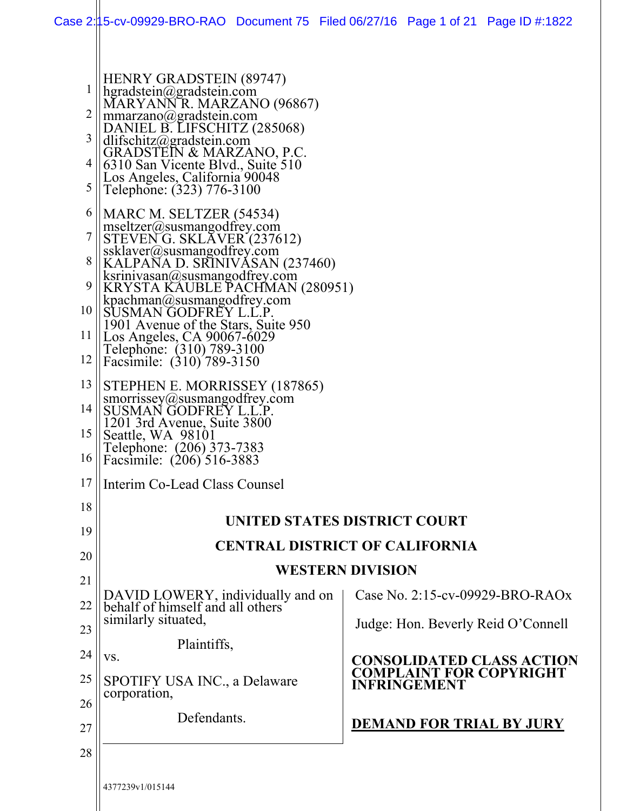|             | HENRY GRADSTEIN (89747)                                                                                                         |                                                       |  |  |
|-------------|---------------------------------------------------------------------------------------------------------------------------------|-------------------------------------------------------|--|--|
| $\mathbf 1$ | hgradstein@gradstein.com<br>MARYANNR. MARZANO (96867)                                                                           |                                                       |  |  |
| 2           | mmarzano@gradstein.com                                                                                                          |                                                       |  |  |
| 3           | DANIEL B. LIFSCHITZ (285068)<br>dlifschitz@gradstein.com                                                                        |                                                       |  |  |
| 4           | GRADSTEIN & MARZANO, P.C.<br>6310 San Vicente Blvd., Suite 510                                                                  |                                                       |  |  |
| 5           | Los Angeles, California 90048<br>Telephone: (323) 776-3100                                                                      |                                                       |  |  |
| 6           | MARC M. SELTZER (54534)                                                                                                         |                                                       |  |  |
| 7           | $msetizer(a)$ susmangodfrey.com<br>STEVENG. SKLAVER (237612)                                                                    |                                                       |  |  |
| 8           | ssklaver@susmangodfrey.com<br>KALPANA D. SRINIVASAN (237460)<br>ksrinivasan@susmangodfrey.com<br>KRYSTA KAUBLE PACHMAN (280951) |                                                       |  |  |
| 9           |                                                                                                                                 |                                                       |  |  |
| 10          | $k$ pachman@susmangodfrey.com<br>SUSMAN GODFREY L.L.P                                                                           |                                                       |  |  |
| 11          | 1901 Avenue of the Stars, Suite 950<br>Los Angeles, CA 90067-6029                                                               |                                                       |  |  |
| 12          | Telephone: (310) 789-3100<br>Facsimile: (310) 789-3150                                                                          |                                                       |  |  |
| 13          | STEPHEN E. MORRISSEY (187865)                                                                                                   |                                                       |  |  |
| 14          | smorrissey@susmangodfrey.com<br>SUSMAN GODFREY L.L.P.<br>1201 3rd Avenue, Suite 3800<br>Seattle, WA 98101                       |                                                       |  |  |
| 15          |                                                                                                                                 |                                                       |  |  |
| 16          | Telephone: (206) 373-7383<br>Facsimile: (206) 516-3883                                                                          |                                                       |  |  |
| 17          | Interim Co-Lead Class Counsel                                                                                                   |                                                       |  |  |
| 18          |                                                                                                                                 | UNITED STATES DISTRICT COURT                          |  |  |
| 19          |                                                                                                                                 | <b>CENTRAL DISTRICT OF CALIFORNIA</b>                 |  |  |
| 20          |                                                                                                                                 |                                                       |  |  |
| 21          |                                                                                                                                 | <b>WESTERN DIVISION</b>                               |  |  |
| 22          | DAVID LOWERY, individually and on<br>behalf of himself and all others                                                           | Case No. 2:15-cv-09929-BRO-RAOx                       |  |  |
| 23          | similarly situated,                                                                                                             | Judge: Hon. Beverly Reid O'Connell                    |  |  |
| 24          | Plaintiffs,<br>VS.                                                                                                              | <b>CONSOLIDATED CLASS ACTION</b>                      |  |  |
| 25          | SPOTIFY USA INC., a Delaware                                                                                                    | <b>COMPLAINT FOR COPYRIGHT</b><br><b>INFRINGEMENT</b> |  |  |
| 26          | corporation,                                                                                                                    |                                                       |  |  |
| 27          | Defendants.                                                                                                                     | <b>DEMAND FOR TRIAL BY JURY</b>                       |  |  |
| 28          |                                                                                                                                 |                                                       |  |  |
|             | 4377239v1/015144                                                                                                                |                                                       |  |  |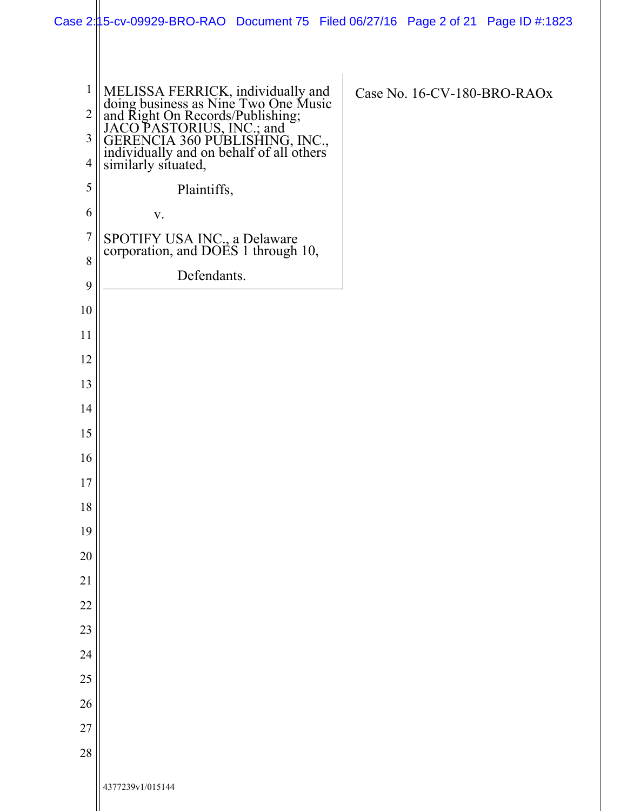|                | Case 2:15-cv-09929-BRO-RAO Document 75 Filed 06/27/16 Page 2 of 21 Page ID #:1823                                                                                                                                                               |                             |
|----------------|-------------------------------------------------------------------------------------------------------------------------------------------------------------------------------------------------------------------------------------------------|-----------------------------|
|                |                                                                                                                                                                                                                                                 |                             |
|                |                                                                                                                                                                                                                                                 |                             |
| $\mathbf{1}$   |                                                                                                                                                                                                                                                 | Case No. 16-CV-180-BRO-RAOx |
| $\overline{2}$ |                                                                                                                                                                                                                                                 |                             |
| $\mathfrak{Z}$ |                                                                                                                                                                                                                                                 |                             |
| $\overline{4}$ | MELISSA FERRICK, individually and<br>doing business as Nine Two One Music<br>and Right On Records/Publishing;<br>JACO PASTORIUS, INC.; and<br>GERENCIA 360 PUBLISHING, INC.,<br>individually and on behalf of all others<br>similarly situated, |                             |
| 5              | Plaintiffs,                                                                                                                                                                                                                                     |                             |
| 6              | V.                                                                                                                                                                                                                                              |                             |
| $\overline{7}$ | SPOTIFY USA INC., a Delaware<br>corporation, and DOES 1 through 10,                                                                                                                                                                             |                             |
| 8              |                                                                                                                                                                                                                                                 |                             |
| 9              | Defendants.                                                                                                                                                                                                                                     |                             |
| 10             |                                                                                                                                                                                                                                                 |                             |
| 11             |                                                                                                                                                                                                                                                 |                             |
| 12             |                                                                                                                                                                                                                                                 |                             |
| 13             |                                                                                                                                                                                                                                                 |                             |
| 14             |                                                                                                                                                                                                                                                 |                             |
| 15             |                                                                                                                                                                                                                                                 |                             |
| 16             |                                                                                                                                                                                                                                                 |                             |
| 17             |                                                                                                                                                                                                                                                 |                             |
| $18\,$         |                                                                                                                                                                                                                                                 |                             |
| 19             |                                                                                                                                                                                                                                                 |                             |
| 20             |                                                                                                                                                                                                                                                 |                             |
| 21             |                                                                                                                                                                                                                                                 |                             |
| 22             |                                                                                                                                                                                                                                                 |                             |
| 23             |                                                                                                                                                                                                                                                 |                             |
| 24             |                                                                                                                                                                                                                                                 |                             |
| 25             |                                                                                                                                                                                                                                                 |                             |
| 26             |                                                                                                                                                                                                                                                 |                             |
| 27             |                                                                                                                                                                                                                                                 |                             |
| 28             |                                                                                                                                                                                                                                                 |                             |
|                |                                                                                                                                                                                                                                                 |                             |
|                | 4377239v1/015144                                                                                                                                                                                                                                |                             |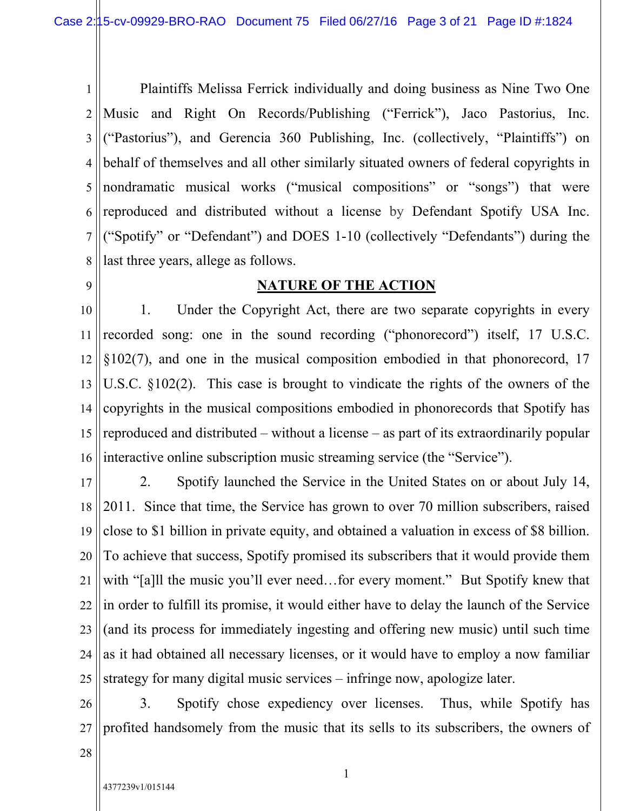1 2 3 4 5 6 7 8 Plaintiffs Melissa Ferrick individually and doing business as Nine Two One Music and Right On Records/Publishing ("Ferrick"), Jaco Pastorius, Inc. ("Pastorius"), and Gerencia 360 Publishing, Inc. (collectively, "Plaintiffs") on behalf of themselves and all other similarly situated owners of federal copyrights in nondramatic musical works ("musical compositions" or "songs") that were reproduced and distributed without a license by Defendant Spotify USA Inc. ("Spotify" or "Defendant") and DOES 1-10 (collectively "Defendants") during the last three years, allege as follows.

9

## **NATURE OF THE ACTION**

10 11 12 13 14 15 16 1. Under the Copyright Act, there are two separate copyrights in every recorded song: one in the sound recording ("phonorecord") itself, 17 U.S.C.  $\S 102(7)$ , and one in the musical composition embodied in that phonorecord, 17 U.S.C. §102(2). This case is brought to vindicate the rights of the owners of the copyrights in the musical compositions embodied in phonorecords that Spotify has reproduced and distributed – without a license – as part of its extraordinarily popular interactive online subscription music streaming service (the "Service").

17 18 19 20 21 22 23 24 25 2. Spotify launched the Service in the United States on or about July 14, 2011. Since that time, the Service has grown to over 70 million subscribers, raised close to \$1 billion in private equity, and obtained a valuation in excess of \$8 billion. To achieve that success, Spotify promised its subscribers that it would provide them with "[a]ll the music you'll ever need...for every moment." But Spotify knew that in order to fulfill its promise, it would either have to delay the launch of the Service (and its process for immediately ingesting and offering new music) until such time as it had obtained all necessary licenses, or it would have to employ a now familiar strategy for many digital music services – infringe now, apologize later.

26 27 3. Spotify chose expediency over licenses. Thus, while Spotify has profited handsomely from the music that its sells to its subscribers, the owners of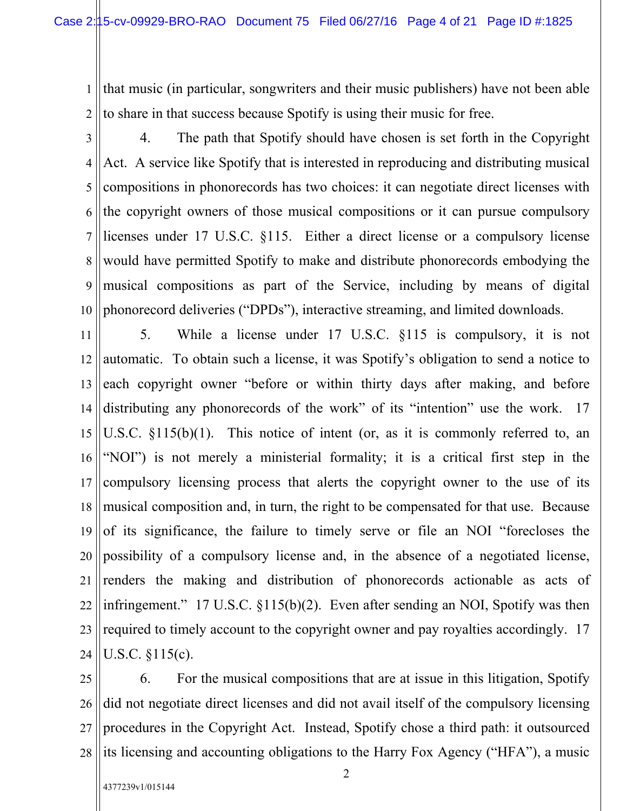1 2 that music (in particular, songwriters and their music publishers) have not been able to share in that success because Spotify is using their music for free.

3 4 5 6 7 8 9 10 4. The path that Spotify should have chosen is set forth in the Copyright Act. A service like Spotify that is interested in reproducing and distributing musical compositions in phonorecords has two choices: it can negotiate direct licenses with the copyright owners of those musical compositions or it can pursue compulsory licenses under 17 U.S.C. §115. Either a direct license or a compulsory license would have permitted Spotify to make and distribute phonorecords embodying the musical compositions as part of the Service, including by means of digital phonorecord deliveries ("DPDs"), interactive streaming, and limited downloads.

11 12 13 14 15 16 17 18 19 20 21 22 23 24 5. While a license under 17 U.S.C. §115 is compulsory, it is not automatic. To obtain such a license, it was Spotify's obligation to send a notice to each copyright owner "before or within thirty days after making, and before distributing any phonorecords of the work" of its "intention" use the work. 17 U.S.C. §115(b)(1). This notice of intent (or, as it is commonly referred to, an "NOI") is not merely a ministerial formality; it is a critical first step in the compulsory licensing process that alerts the copyright owner to the use of its musical composition and, in turn, the right to be compensated for that use. Because of its significance, the failure to timely serve or file an NOI "forecloses the possibility of a compulsory license and, in the absence of a negotiated license, renders the making and distribution of phonorecords actionable as acts of infringement." 17 U.S.C. §115(b)(2). Even after sending an NOI, Spotify was then required to timely account to the copyright owner and pay royalties accordingly. 17 U.S.C. §115(c).

25 26 27 28 6. For the musical compositions that are at issue in this litigation, Spotify did not negotiate direct licenses and did not avail itself of the compulsory licensing procedures in the Copyright Act. Instead, Spotify chose a third path: it outsourced its licensing and accounting obligations to the Harry Fox Agency ("HFA"), a music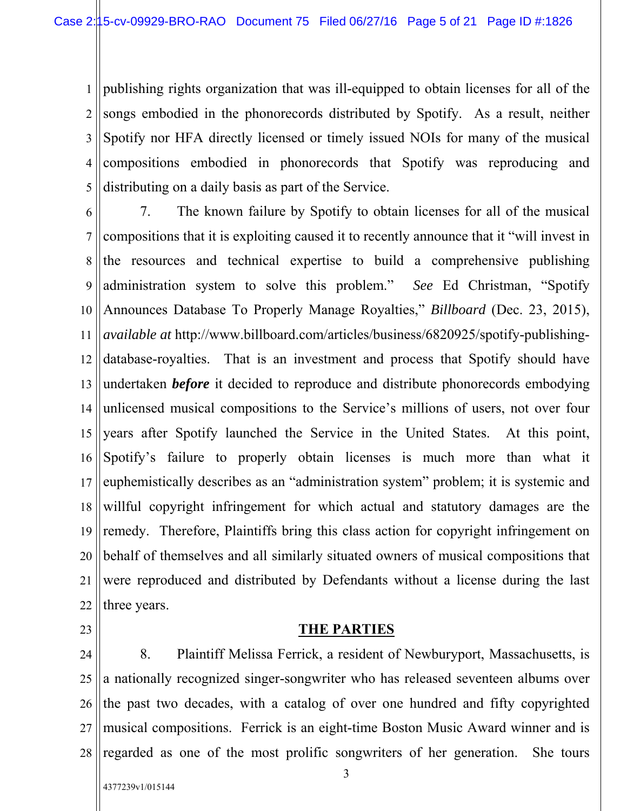1 2 3 4 5 publishing rights organization that was ill-equipped to obtain licenses for all of the songs embodied in the phonorecords distributed by Spotify. As a result, neither Spotify nor HFA directly licensed or timely issued NOIs for many of the musical compositions embodied in phonorecords that Spotify was reproducing and distributing on a daily basis as part of the Service.

6 7 8 9 10 11 12 13 14 15 16 17 18 19 20 21 22 7. The known failure by Spotify to obtain licenses for all of the musical compositions that it is exploiting caused it to recently announce that it "will invest in the resources and technical expertise to build a comprehensive publishing administration system to solve this problem." *See* Ed Christman, "Spotify Announces Database To Properly Manage Royalties," *Billboard* (Dec. 23, 2015), *available at* http://www.billboard.com/articles/business/6820925/spotify-publishingdatabase-royalties. That is an investment and process that Spotify should have undertaken *before* it decided to reproduce and distribute phonorecords embodying unlicensed musical compositions to the Service's millions of users, not over four years after Spotify launched the Service in the United States. At this point, Spotify's failure to properly obtain licenses is much more than what it euphemistically describes as an "administration system" problem; it is systemic and willful copyright infringement for which actual and statutory damages are the remedy. Therefore, Plaintiffs bring this class action for copyright infringement on behalf of themselves and all similarly situated owners of musical compositions that were reproduced and distributed by Defendants without a license during the last three years.

23

# **THE PARTIES**

24 25 26 27 28 8. Plaintiff Melissa Ferrick, a resident of Newburyport, Massachusetts, is a nationally recognized singer-songwriter who has released seventeen albums over the past two decades, with a catalog of over one hundred and fifty copyrighted musical compositions. Ferrick is an eight-time Boston Music Award winner and is regarded as one of the most prolific songwriters of her generation. She tours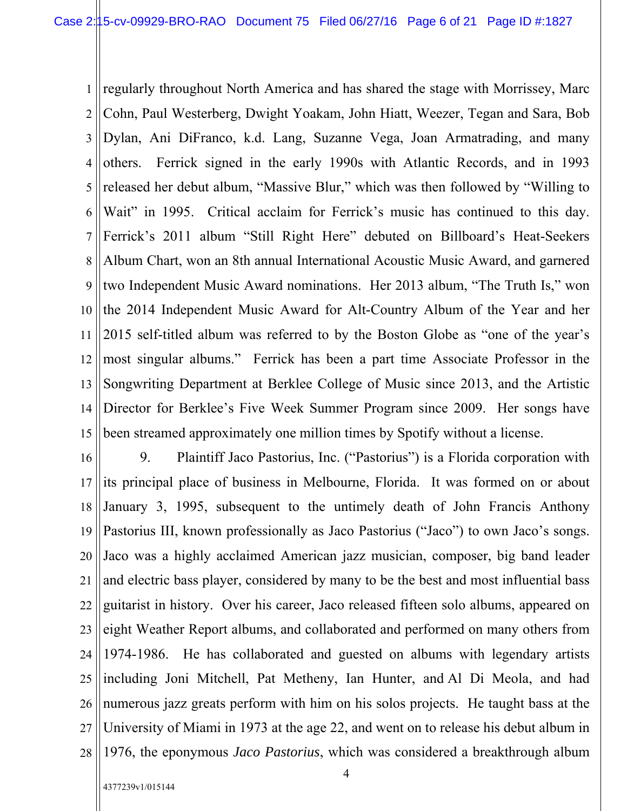1 2 3 4 5 6 7 8 9 10 11 12 13 14 15 regularly throughout North America and has shared the stage with Morrissey, Marc Cohn, Paul Westerberg, Dwight Yoakam, John Hiatt, Weezer, Tegan and Sara, Bob Dylan, Ani DiFranco, k.d. Lang, Suzanne Vega, Joan Armatrading, and many others. Ferrick signed in the early 1990s with Atlantic Records, and in 1993 released her debut album, "Massive Blur," which was then followed by "Willing to Wait" in 1995. Critical acclaim for Ferrick's music has continued to this day. Ferrick's 2011 album "Still Right Here" debuted on Billboard's Heat-Seekers Album Chart, won an 8th annual International Acoustic Music Award, and garnered two Independent Music Award nominations. Her 2013 album, "The Truth Is," won the 2014 Independent Music Award for Alt-Country Album of the Year and her 2015 self-titled album was referred to by the Boston Globe as "one of the year's most singular albums." Ferrick has been a part time Associate Professor in the Songwriting Department at Berklee College of Music since 2013, and the Artistic Director for Berklee's Five Week Summer Program since 2009. Her songs have been streamed approximately one million times by Spotify without a license.

16 17 18 19 20 21 22 23 24 25 26 27 28 9. Plaintiff Jaco Pastorius, Inc. ("Pastorius") is a Florida corporation with its principal place of business in Melbourne, Florida. It was formed on or about January 3, 1995, subsequent to the untimely death of John Francis Anthony Pastorius III, known professionally as Jaco Pastorius ("Jaco") to own Jaco's songs. Jaco was a highly acclaimed American jazz musician, composer, big band leader and electric bass player, considered by many to be the best and most influential bass guitarist in history. Over his career, Jaco released fifteen solo albums, appeared on eight Weather Report albums, and collaborated and performed on many others from 1974-1986. He has collaborated and guested on albums with legendary artists including Joni Mitchell, Pat Metheny, Ian Hunter, and Al Di Meola, and had numerous jazz greats perform with him on his solos projects. He taught bass at the University of Miami in 1973 at the age 22, and went on to release his debut album in 1976, the eponymous *Jaco Pastorius*, which was considered a breakthrough album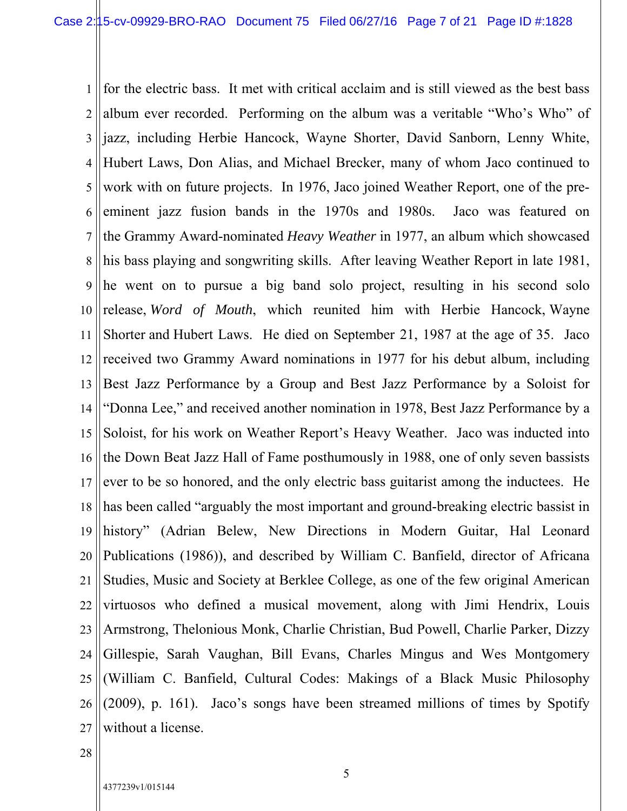1 2 3 4 5 6 7 8 9 10 11 12 13 14 15 16 17 18 19 20 21 22 23 24 25 26 27 for the electric bass. It met with critical acclaim and is still viewed as the best bass album ever recorded. Performing on the album was a veritable "Who's Who" of jazz, including Herbie Hancock, Wayne Shorter, David Sanborn, Lenny White, Hubert Laws, Don Alias, and Michael Brecker, many of whom Jaco continued to work with on future projects. In 1976, Jaco joined Weather Report, one of the preeminent jazz fusion bands in the 1970s and 1980s. Jaco was featured on the Grammy Award-nominated *Heavy Weather* in 1977, an album which showcased his bass playing and songwriting skills. After leaving Weather Report in late 1981, he went on to pursue a big band solo project, resulting in his second solo release, *Word of Mouth*, which reunited him with Herbie Hancock, Wayne Shorter and Hubert Laws. He died on September 21, 1987 at the age of 35. Jaco received two Grammy Award nominations in 1977 for his debut album, including Best Jazz Performance by a Group and Best Jazz Performance by a Soloist for "Donna Lee," and received another nomination in 1978, Best Jazz Performance by a Soloist, for his work on Weather Report's Heavy Weather. Jaco was inducted into the Down Beat Jazz Hall of Fame posthumously in 1988, one of only seven bassists ever to be so honored, and the only electric bass guitarist among the inductees. He has been called "arguably the most important and ground-breaking electric bassist in history" (Adrian Belew, New Directions in Modern Guitar, Hal Leonard Publications (1986)), and described by William C. Banfield, director of Africana Studies, Music and Society at Berklee College, as one of the few original American virtuosos who defined a musical movement, along with Jimi Hendrix, Louis Armstrong, Thelonious Monk, Charlie Christian, Bud Powell, Charlie Parker, Dizzy Gillespie, Sarah Vaughan, Bill Evans, Charles Mingus and Wes Montgomery (William C. Banfield, Cultural Codes: Makings of a Black Music Philosophy (2009), p. 161). Jaco's songs have been streamed millions of times by Spotify without a license.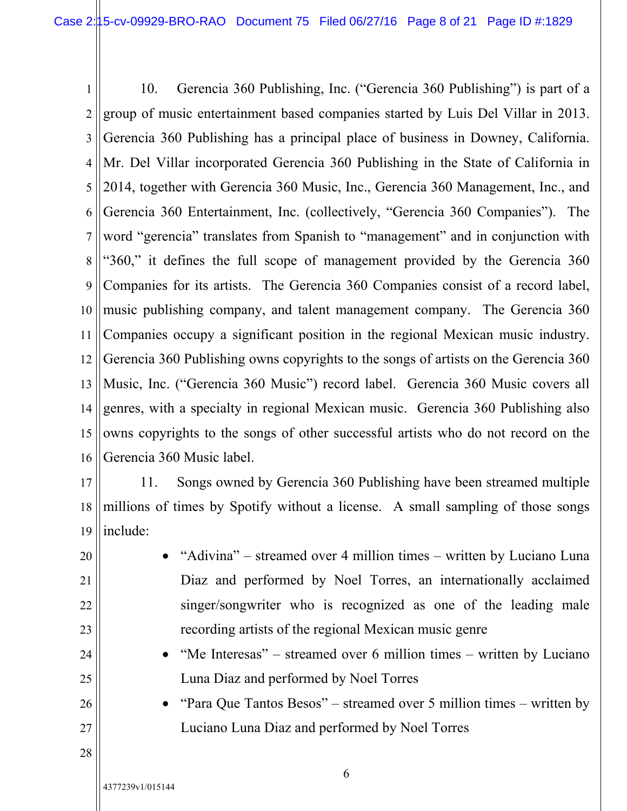1 2 3 4 5 6 7 8 9 10 11 12 13 14 15 16 10. Gerencia 360 Publishing, Inc. ("Gerencia 360 Publishing") is part of a group of music entertainment based companies started by Luis Del Villar in 2013. Gerencia 360 Publishing has a principal place of business in Downey, California. Mr. Del Villar incorporated Gerencia 360 Publishing in the State of California in 2014, together with Gerencia 360 Music, Inc., Gerencia 360 Management, Inc., and Gerencia 360 Entertainment, Inc. (collectively, "Gerencia 360 Companies"). The word "gerencia" translates from Spanish to "management" and in conjunction with "360," it defines the full scope of management provided by the Gerencia 360 Companies for its artists. The Gerencia 360 Companies consist of a record label, music publishing company, and talent management company. The Gerencia 360 Companies occupy a significant position in the regional Mexican music industry. Gerencia 360 Publishing owns copyrights to the songs of artists on the Gerencia 360 Music, Inc. ("Gerencia 360 Music") record label. Gerencia 360 Music covers all genres, with a specialty in regional Mexican music. Gerencia 360 Publishing also owns copyrights to the songs of other successful artists who do not record on the Gerencia 360 Music label.

17

20

21

22

23

24

25

26

27

18 19 11. Songs owned by Gerencia 360 Publishing have been streamed multiple millions of times by Spotify without a license. A small sampling of those songs include:

- "Adivina" streamed over 4 million times written by Luciano Luna Diaz and performed by Noel Torres, an internationally acclaimed singer/songwriter who is recognized as one of the leading male recording artists of the regional Mexican music genre
- "Me Interesas" streamed over 6 million times written by Luciano Luna Diaz and performed by Noel Torres
- "Para Que Tantos Besos" streamed over 5 million times written by Luciano Luna Diaz and performed by Noel Torres
- 28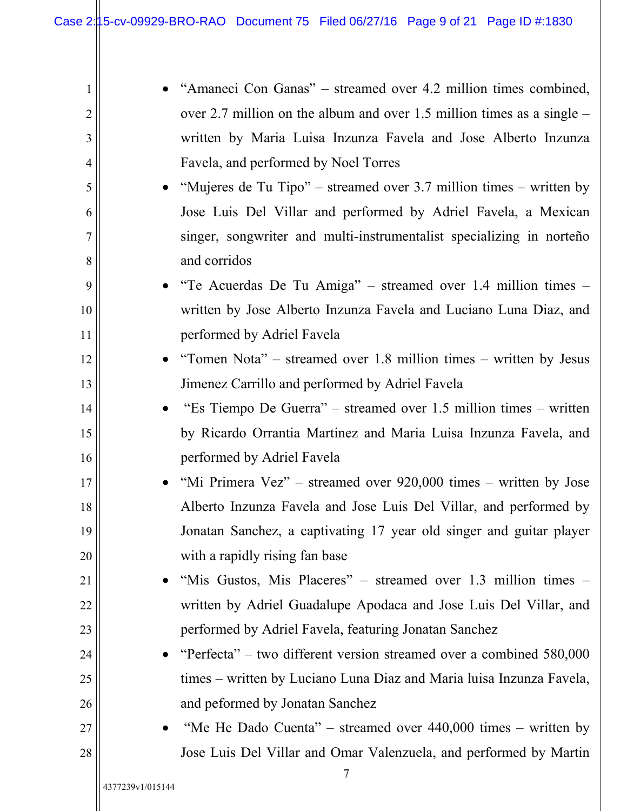| 1              | "Amaneci Con Ganas" – streamed over 4.2 million times combined,                |
|----------------|--------------------------------------------------------------------------------|
| $\overline{2}$ | over 2.7 million on the album and over 1.5 million times as a single $-$       |
| 3              | written by Maria Luisa Inzunza Favela and Jose Alberto Inzunza                 |
| 4              | Favela, and performed by Noel Torres                                           |
| 5              | • "Mujeres de Tu Tipo" – streamed over 3.7 million times – written by          |
| 6              | Jose Luis Del Villar and performed by Adriel Favela, a Mexican                 |
| $\overline{7}$ | singer, songwriter and multi-instrumentalist specializing in norteño           |
| 8              | and corridos                                                                   |
| 9              | "Te Acuerdas De Tu Amiga" – streamed over 1.4 million times –                  |
| 10             | written by Jose Alberto Inzunza Favela and Luciano Luna Diaz, and              |
| 11             | performed by Adriel Favela                                                     |
| 12             | "Tomen Nota" – streamed over 1.8 million times – written by Jesus<br>$\bullet$ |
| 13             | Jimenez Carrillo and performed by Adriel Favela                                |
| 14             | "Es Tiempo De Guerra" – streamed over 1.5 million times – written              |
| 15             | by Ricardo Orrantia Martinez and Maria Luisa Inzunza Favela, and               |
| 16             | performed by Adriel Favela                                                     |
| 17             | "Mi Primera Vez" – streamed over 920,000 times – written by Jose<br>$\bullet$  |
| 18             | Alberto Inzunza Favela and Jose Luis Del Villar, and performed by              |
| 19             | Jonatan Sanchez, a captivating 17 year old singer and guitar player            |
| 20             | with a rapidly rising fan base                                                 |
| 21             | "Mis Gustos, Mis Placeres" – streamed over 1.3 million times –                 |
| 22             | written by Adriel Guadalupe Apodaca and Jose Luis Del Villar, and              |
| 23             | performed by Adriel Favela, featuring Jonatan Sanchez                          |
| 24             | "Perfecta" – two different version streamed over a combined $580,000$          |
| 25             | times – written by Luciano Luna Diaz and Maria luisa Inzunza Favela,           |
| 26             | and peformed by Jonatan Sanchez                                                |
| 27             | "Me He Dado Cuenta" – streamed over $440,000$ times – written by               |
| 28             | Jose Luis Del Villar and Omar Valenzuela, and performed by Martin              |
|                | 7                                                                              |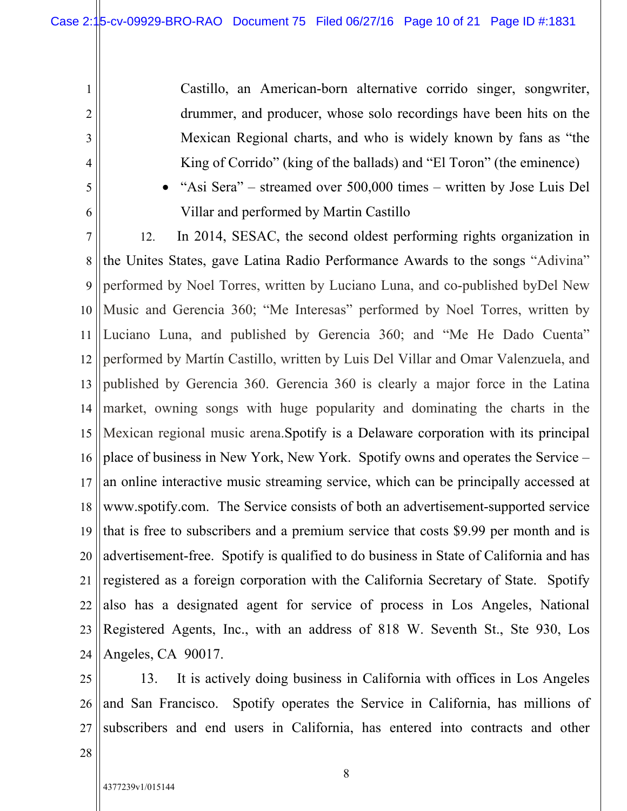Castillo, an American-born alternative corrido singer, songwriter, drummer, and producer, whose solo recordings have been hits on the Mexican Regional charts, and who is widely known by fans as "the King of Corrido" (king of the ballads) and "El Toron" (the eminence)

5 6

1

2

3

4

 "Asi Sera" – streamed over 500,000 times – written by Jose Luis Del Villar and performed by Martin Castillo

7 8 9 10 11 12 13 14 15 16 17 18 19 20 21 22 23 24 12. In 2014, SESAC, the second oldest performing rights organization in the Unites States, gave Latina Radio Performance Awards to the songs "Adivina" performed by Noel Torres, written by Luciano Luna, and co-published byDel New Music and Gerencia 360; "Me Interesas" performed by Noel Torres, written by Luciano Luna, and published by Gerencia 360; and "Me He Dado Cuenta" performed by Martín Castillo, written by Luis Del Villar and Omar Valenzuela, and published by Gerencia 360. Gerencia 360 is clearly a major force in the Latina market, owning songs with huge popularity and dominating the charts in the Mexican regional music arena.Spotify is a Delaware corporation with its principal place of business in New York, New York. Spotify owns and operates the Service – an online interactive music streaming service, which can be principally accessed at www.spotify.com. The Service consists of both an advertisement-supported service that is free to subscribers and a premium service that costs \$9.99 per month and is advertisement-free. Spotify is qualified to do business in State of California and has registered as a foreign corporation with the California Secretary of State. Spotify also has a designated agent for service of process in Los Angeles, National Registered Agents, Inc., with an address of 818 W. Seventh St., Ste 930, Los Angeles, CA 90017.

25 26 27 13. It is actively doing business in California with offices in Los Angeles and San Francisco. Spotify operates the Service in California, has millions of subscribers and end users in California, has entered into contracts and other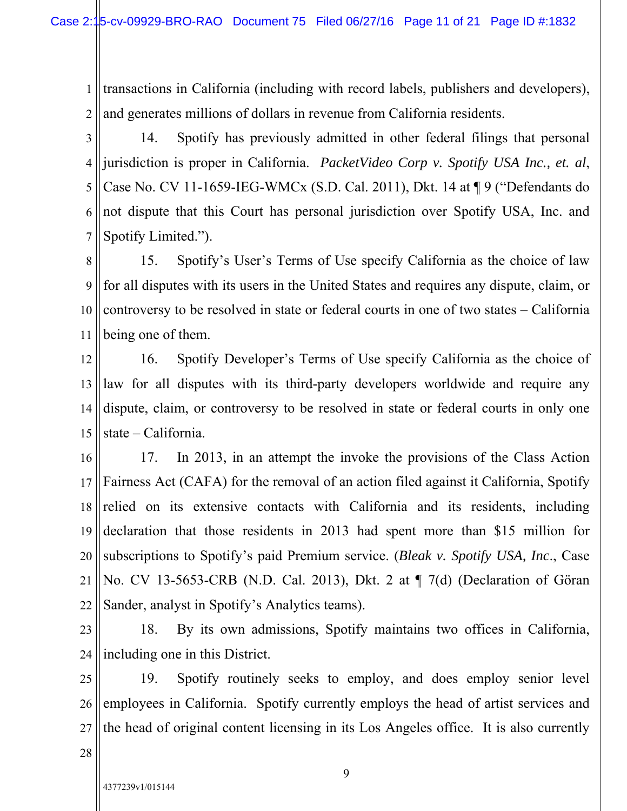1 2 transactions in California (including with record labels, publishers and developers), and generates millions of dollars in revenue from California residents.

3 4 5 6 7 14. Spotify has previously admitted in other federal filings that personal jurisdiction is proper in California. *PacketVideo Corp v. Spotify USA Inc., et. al*, Case No. CV 11-1659-IEG-WMCx (S.D. Cal. 2011), Dkt. 14 at ¶ 9 ("Defendants do not dispute that this Court has personal jurisdiction over Spotify USA, Inc. and Spotify Limited.").

8 9 10 11 15. Spotify's User's Terms of Use specify California as the choice of law for all disputes with its users in the United States and requires any dispute, claim, or controversy to be resolved in state or federal courts in one of two states – California being one of them.

12 13 14 15 16. Spotify Developer's Terms of Use specify California as the choice of law for all disputes with its third-party developers worldwide and require any dispute, claim, or controversy to be resolved in state or federal courts in only one state – California.

16 17 18 19 20 21 22 17. In 2013, in an attempt the invoke the provisions of the Class Action Fairness Act (CAFA) for the removal of an action filed against it California, Spotify relied on its extensive contacts with California and its residents, including declaration that those residents in 2013 had spent more than \$15 million for subscriptions to Spotify's paid Premium service. (*Bleak v. Spotify USA, Inc*., Case No. CV 13-5653-CRB (N.D. Cal. 2013), Dkt. 2 at ¶ 7(d) (Declaration of Göran Sander, analyst in Spotify's Analytics teams).

23 24 18. By its own admissions, Spotify maintains two offices in California, including one in this District.

25 26 27 19. Spotify routinely seeks to employ, and does employ senior level employees in California. Spotify currently employs the head of artist services and the head of original content licensing in its Los Angeles office. It is also currently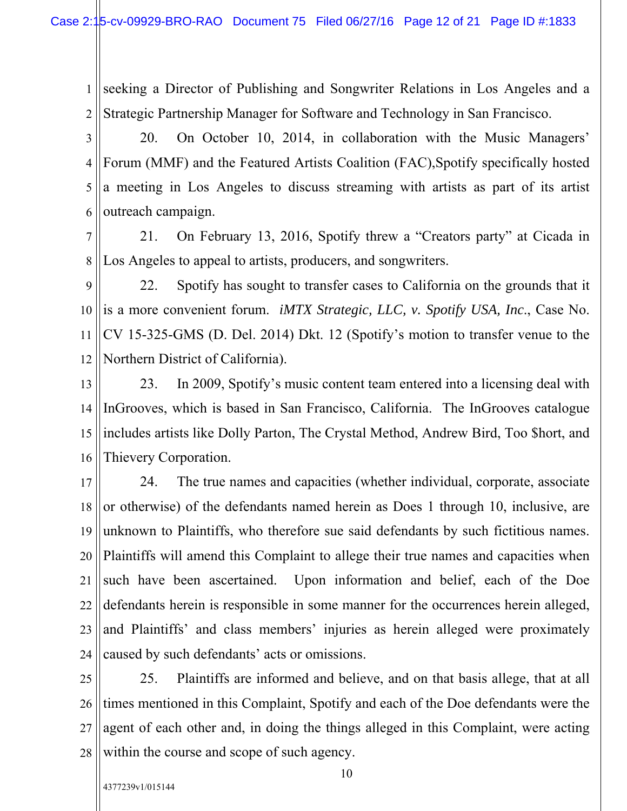1 2 seeking a Director of Publishing and Songwriter Relations in Los Angeles and a Strategic Partnership Manager for Software and Technology in San Francisco.

3 4 5 6 20. On October 10, 2014, in collaboration with the Music Managers' Forum (MMF) and the Featured Artists Coalition (FAC),Spotify specifically hosted a meeting in Los Angeles to discuss streaming with artists as part of its artist outreach campaign.

7 8 21. On February 13, 2016, Spotify threw a "Creators party" at Cicada in Los Angeles to appeal to artists, producers, and songwriters.

9 10 11 12 22. Spotify has sought to transfer cases to California on the grounds that it is a more convenient forum. *iMTX Strategic, LLC, v. Spotify USA, Inc*., Case No. CV 15-325-GMS (D. Del. 2014) Dkt. 12 (Spotify's motion to transfer venue to the Northern District of California).

13 14 15 16 23. In 2009, Spotify's music content team entered into a licensing deal with InGrooves, which is based in San Francisco, California. The InGrooves catalogue includes artists like Dolly Parton, The Crystal Method, Andrew Bird, Too \$hort, and Thievery Corporation.

17 18 19 20 21 22 23 24 24. The true names and capacities (whether individual, corporate, associate or otherwise) of the defendants named herein as Does 1 through 10, inclusive, are unknown to Plaintiffs, who therefore sue said defendants by such fictitious names. Plaintiffs will amend this Complaint to allege their true names and capacities when such have been ascertained. Upon information and belief, each of the Doe defendants herein is responsible in some manner for the occurrences herein alleged, and Plaintiffs' and class members' injuries as herein alleged were proximately caused by such defendants' acts or omissions.

25 26 27 28 25. Plaintiffs are informed and believe, and on that basis allege, that at all times mentioned in this Complaint, Spotify and each of the Doe defendants were the agent of each other and, in doing the things alleged in this Complaint, were acting within the course and scope of such agency.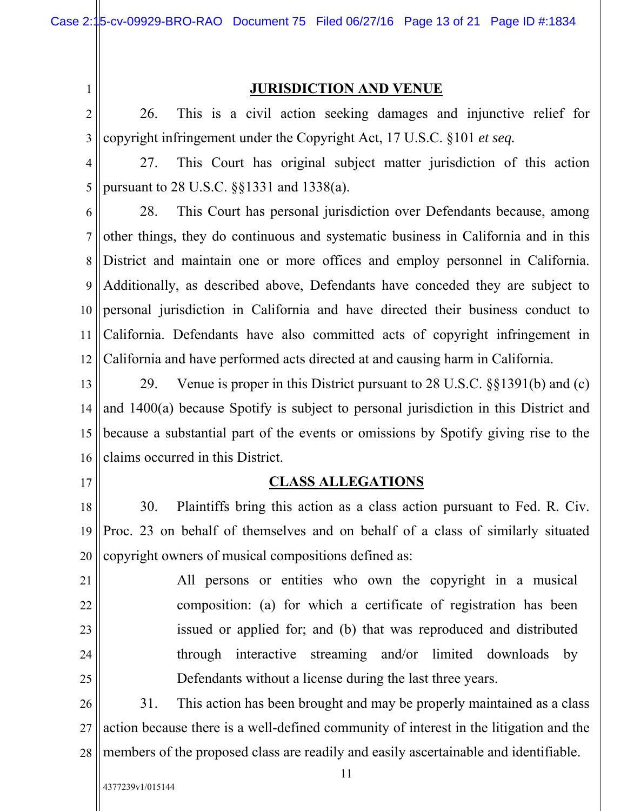1

## **JURISDICTION AND VENUE**

2 3 26. This is a civil action seeking damages and injunctive relief for copyright infringement under the Copyright Act, 17 U.S.C. §101 *et seq.*

4 5 27. This Court has original subject matter jurisdiction of this action pursuant to 28 U.S.C. §§1331 and 1338(a).

6 7 8 9 10 11 12 28. This Court has personal jurisdiction over Defendants because, among other things, they do continuous and systematic business in California and in this District and maintain one or more offices and employ personnel in California. Additionally, as described above, Defendants have conceded they are subject to personal jurisdiction in California and have directed their business conduct to California. Defendants have also committed acts of copyright infringement in California and have performed acts directed at and causing harm in California.

13 14 15 16 29. Venue is proper in this District pursuant to 28 U.S.C. §§1391(b) and (c) and 1400(a) because Spotify is subject to personal jurisdiction in this District and because a substantial part of the events or omissions by Spotify giving rise to the claims occurred in this District.

17

## **CLASS ALLEGATIONS**

18 19 20 30. Plaintiffs bring this action as a class action pursuant to Fed. R. Civ. Proc. 23 on behalf of themselves and on behalf of a class of similarly situated copyright owners of musical compositions defined as:

21 22 23 24 25 All persons or entities who own the copyright in a musical composition: (a) for which a certificate of registration has been issued or applied for; and (b) that was reproduced and distributed through interactive streaming and/or limited downloads by Defendants without a license during the last three years.

26 27 28 31. This action has been brought and may be properly maintained as a class action because there is a well-defined community of interest in the litigation and the members of the proposed class are readily and easily ascertainable and identifiable.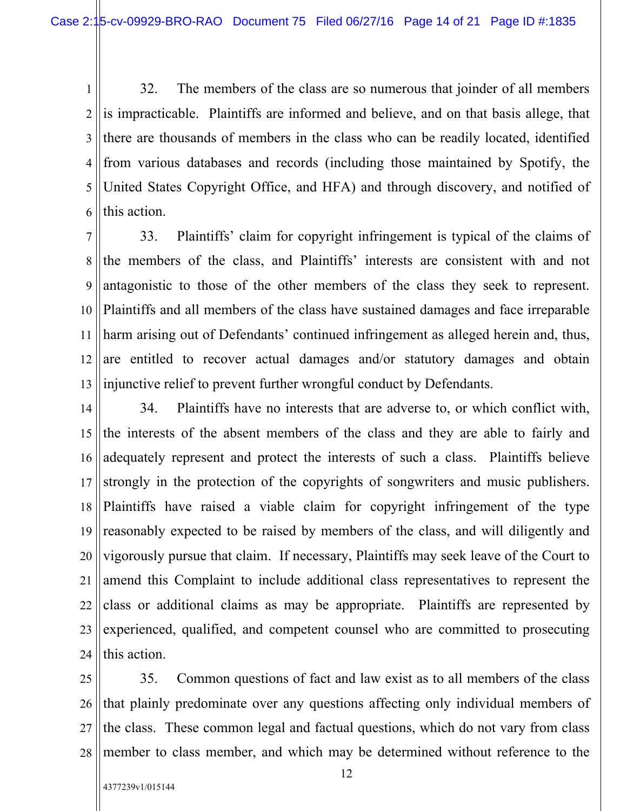1 2 3 4 5 6 32. The members of the class are so numerous that joinder of all members is impracticable. Plaintiffs are informed and believe, and on that basis allege, that there are thousands of members in the class who can be readily located, identified from various databases and records (including those maintained by Spotify, the United States Copyright Office, and HFA) and through discovery, and notified of this action.

7 8 9 10 11 12 13 33. Plaintiffs' claim for copyright infringement is typical of the claims of the members of the class, and Plaintiffs' interests are consistent with and not antagonistic to those of the other members of the class they seek to represent. Plaintiffs and all members of the class have sustained damages and face irreparable harm arising out of Defendants' continued infringement as alleged herein and, thus, are entitled to recover actual damages and/or statutory damages and obtain injunctive relief to prevent further wrongful conduct by Defendants.

14 15 16 17 18 19 20 21 22 23 24 34. Plaintiffs have no interests that are adverse to, or which conflict with, the interests of the absent members of the class and they are able to fairly and adequately represent and protect the interests of such a class. Plaintiffs believe strongly in the protection of the copyrights of songwriters and music publishers. Plaintiffs have raised a viable claim for copyright infringement of the type reasonably expected to be raised by members of the class, and will diligently and vigorously pursue that claim. If necessary, Plaintiffs may seek leave of the Court to amend this Complaint to include additional class representatives to represent the class or additional claims as may be appropriate. Plaintiffs are represented by experienced, qualified, and competent counsel who are committed to prosecuting this action.

25 26 27 28 35. Common questions of fact and law exist as to all members of the class that plainly predominate over any questions affecting only individual members of the class. These common legal and factual questions, which do not vary from class member to class member, and which may be determined without reference to the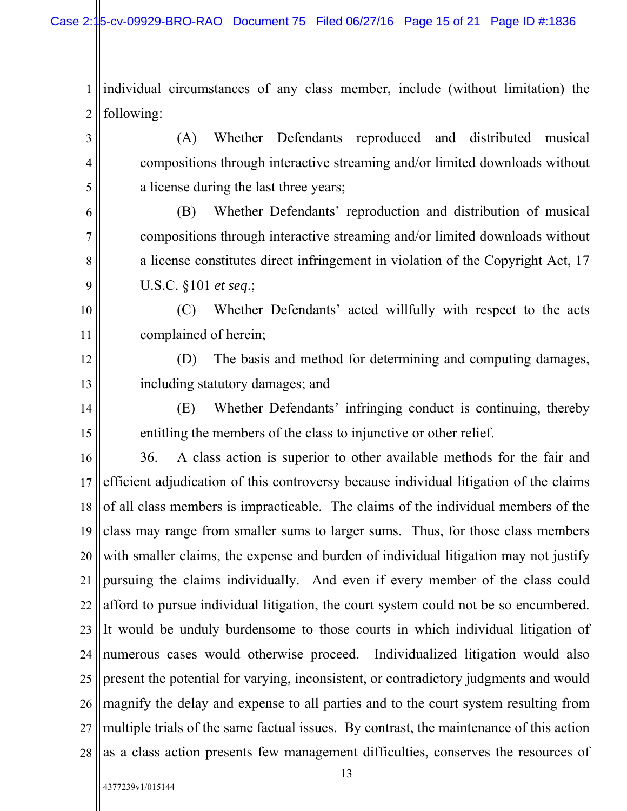1 2 individual circumstances of any class member, include (without limitation) the following:

(A) Whether Defendants reproduced and distributed musical compositions through interactive streaming and/or limited downloads without a license during the last three years;

(B) Whether Defendants' reproduction and distribution of musical compositions through interactive streaming and/or limited downloads without a license constitutes direct infringement in violation of the Copyright Act, 17 U.S.C. §101 *et seq*.;

(C) Whether Defendants' acted willfully with respect to the acts complained of herein;

(D) The basis and method for determining and computing damages, including statutory damages; and

(E) Whether Defendants' infringing conduct is continuing, thereby entitling the members of the class to injunctive or other relief.

16 17 18 19 20 21 22 23 24 25 26 27 28 36. A class action is superior to other available methods for the fair and efficient adjudication of this controversy because individual litigation of the claims of all class members is impracticable. The claims of the individual members of the class may range from smaller sums to larger sums. Thus, for those class members with smaller claims, the expense and burden of individual litigation may not justify pursuing the claims individually. And even if every member of the class could afford to pursue individual litigation, the court system could not be so encumbered. It would be unduly burdensome to those courts in which individual litigation of numerous cases would otherwise proceed. Individualized litigation would also present the potential for varying, inconsistent, or contradictory judgments and would magnify the delay and expense to all parties and to the court system resulting from multiple trials of the same factual issues. By contrast, the maintenance of this action as a class action presents few management difficulties, conserves the resources of

3

4

5

6

7

8

9

10

11

12

13

14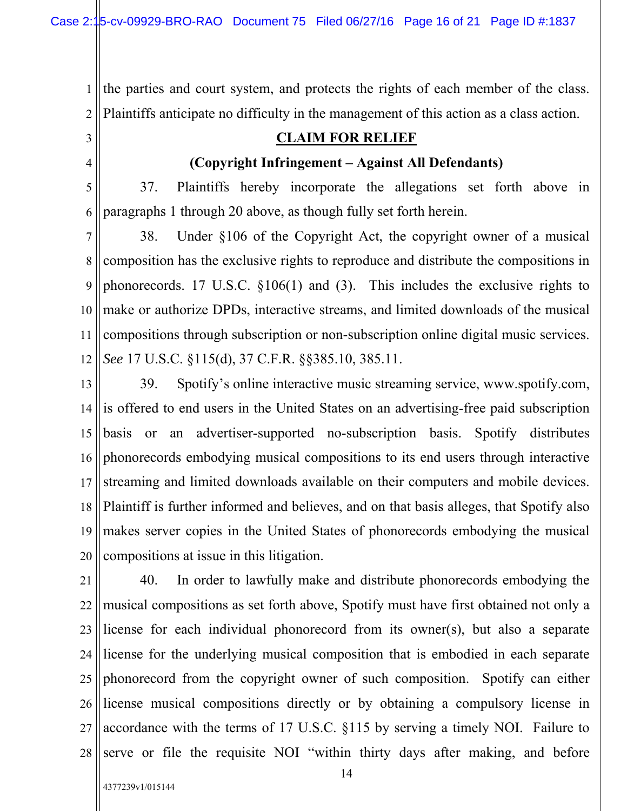the parties and court system, and protects the rights of each member of the class. Plaintiffs anticipate no difficulty in the management of this action as a class action.

## **CLAIM FOR RELIEF**

# **(Copyright Infringement – Against All Defendants)**

5 6 37. Plaintiffs hereby incorporate the allegations set forth above in paragraphs 1 through 20 above, as though fully set forth herein.

7 8 9 10 11 12 38. Under §106 of the Copyright Act, the copyright owner of a musical composition has the exclusive rights to reproduce and distribute the compositions in phonorecords. 17 U.S.C. §106(1) and (3). This includes the exclusive rights to make or authorize DPDs, interactive streams, and limited downloads of the musical compositions through subscription or non-subscription online digital music services. *See* 17 U.S.C. §115(d), 37 C.F.R. §§385.10, 385.11.

13 14 15 16 17 18 19 20 39. Spotify's online interactive music streaming service, www.spotify.com, is offered to end users in the United States on an advertising-free paid subscription basis or an advertiser-supported no-subscription basis. Spotify distributes phonorecords embodying musical compositions to its end users through interactive streaming and limited downloads available on their computers and mobile devices. Plaintiff is further informed and believes, and on that basis alleges, that Spotify also makes server copies in the United States of phonorecords embodying the musical compositions at issue in this litigation.

21 22 23 24 25 26 27 28 40. In order to lawfully make and distribute phonorecords embodying the musical compositions as set forth above, Spotify must have first obtained not only a license for each individual phonorecord from its owner(s), but also a separate license for the underlying musical composition that is embodied in each separate phonorecord from the copyright owner of such composition. Spotify can either license musical compositions directly or by obtaining a compulsory license in accordance with the terms of 17 U.S.C. §115 by serving a timely NOI. Failure to serve or file the requisite NOI "within thirty days after making, and before

1

2

3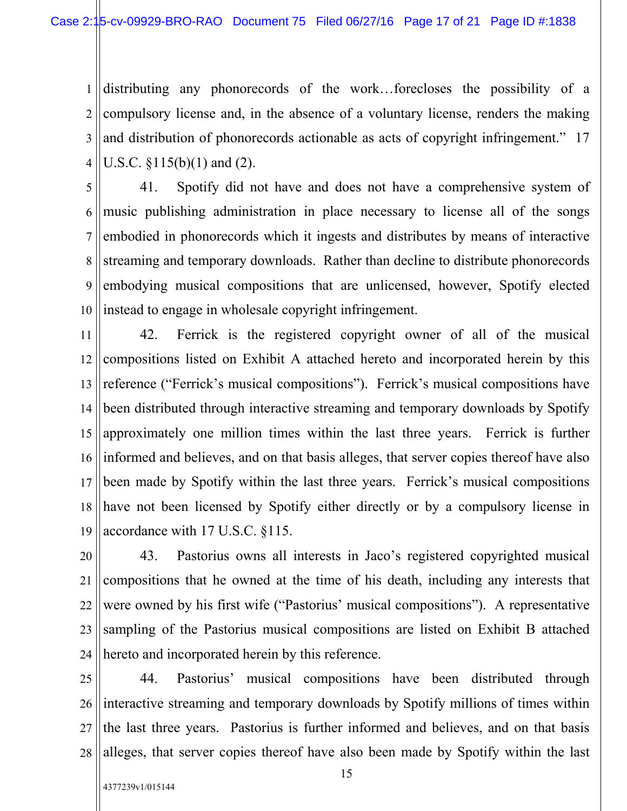1 2 3 4 distributing any phonorecords of the work…forecloses the possibility of a compulsory license and, in the absence of a voluntary license, renders the making and distribution of phonorecords actionable as acts of copyright infringement." 17 U.S.C. §115(b)(1) and (2).

5 6 7 8 9 10 41. Spotify did not have and does not have a comprehensive system of music publishing administration in place necessary to license all of the songs embodied in phonorecords which it ingests and distributes by means of interactive streaming and temporary downloads. Rather than decline to distribute phonorecords embodying musical compositions that are unlicensed, however, Spotify elected instead to engage in wholesale copyright infringement.

11 12 13 14 15 16 17 18 19 42. Ferrick is the registered copyright owner of all of the musical compositions listed on Exhibit A attached hereto and incorporated herein by this reference ("Ferrick's musical compositions"). Ferrick's musical compositions have been distributed through interactive streaming and temporary downloads by Spotify approximately one million times within the last three years. Ferrick is further informed and believes, and on that basis alleges, that server copies thereof have also been made by Spotify within the last three years. Ferrick's musical compositions have not been licensed by Spotify either directly or by a compulsory license in accordance with 17 U.S.C. §115.

20 21 22 23 24 43. Pastorius owns all interests in Jaco's registered copyrighted musical compositions that he owned at the time of his death, including any interests that were owned by his first wife ("Pastorius' musical compositions"). A representative sampling of the Pastorius musical compositions are listed on Exhibit B attached hereto and incorporated herein by this reference.

25 26 27 28 44. Pastorius' musical compositions have been distributed through interactive streaming and temporary downloads by Spotify millions of times within the last three years. Pastorius is further informed and believes, and on that basis alleges, that server copies thereof have also been made by Spotify within the last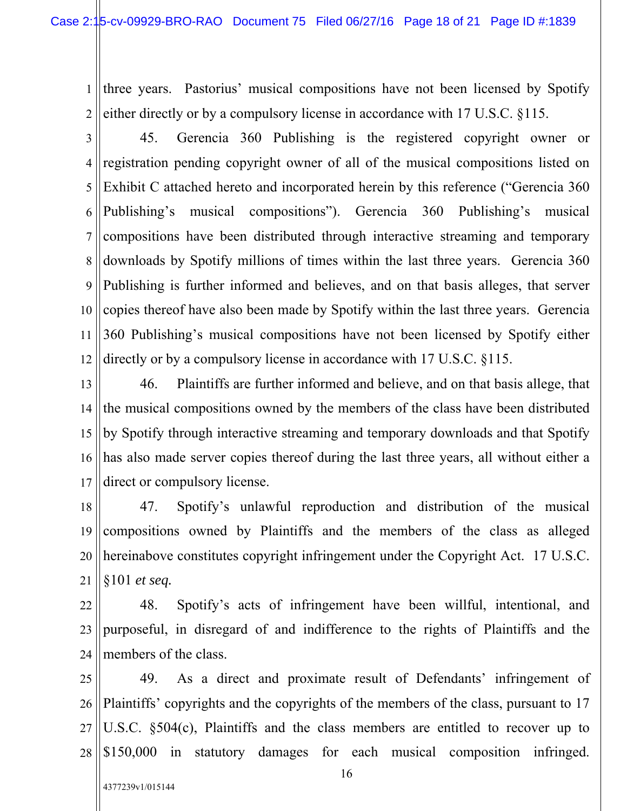1 2 three years. Pastorius' musical compositions have not been licensed by Spotify either directly or by a compulsory license in accordance with 17 U.S.C. §115.

3 4 5 6 7 8 9 10 11 12 45. Gerencia 360 Publishing is the registered copyright owner or registration pending copyright owner of all of the musical compositions listed on Exhibit C attached hereto and incorporated herein by this reference ("Gerencia 360 Publishing's musical compositions"). Gerencia 360 Publishing's musical compositions have been distributed through interactive streaming and temporary downloads by Spotify millions of times within the last three years. Gerencia 360 Publishing is further informed and believes, and on that basis alleges, that server copies thereof have also been made by Spotify within the last three years. Gerencia 360 Publishing's musical compositions have not been licensed by Spotify either directly or by a compulsory license in accordance with 17 U.S.C. §115.

13 14 15 16 17 46. Plaintiffs are further informed and believe, and on that basis allege, that the musical compositions owned by the members of the class have been distributed by Spotify through interactive streaming and temporary downloads and that Spotify has also made server copies thereof during the last three years, all without either a direct or compulsory license.

18 19 20 21 47. Spotify's unlawful reproduction and distribution of the musical compositions owned by Plaintiffs and the members of the class as alleged hereinabove constitutes copyright infringement under the Copyright Act. 17 U.S.C. §101 *et seq.*

22 23 24 48. Spotify's acts of infringement have been willful, intentional, and purposeful, in disregard of and indifference to the rights of Plaintiffs and the members of the class.

25 26 27 28 49. As a direct and proximate result of Defendants' infringement of Plaintiffs' copyrights and the copyrights of the members of the class, pursuant to 17 U.S.C. §504(c), Plaintiffs and the class members are entitled to recover up to \$150,000 in statutory damages for each musical composition infringed.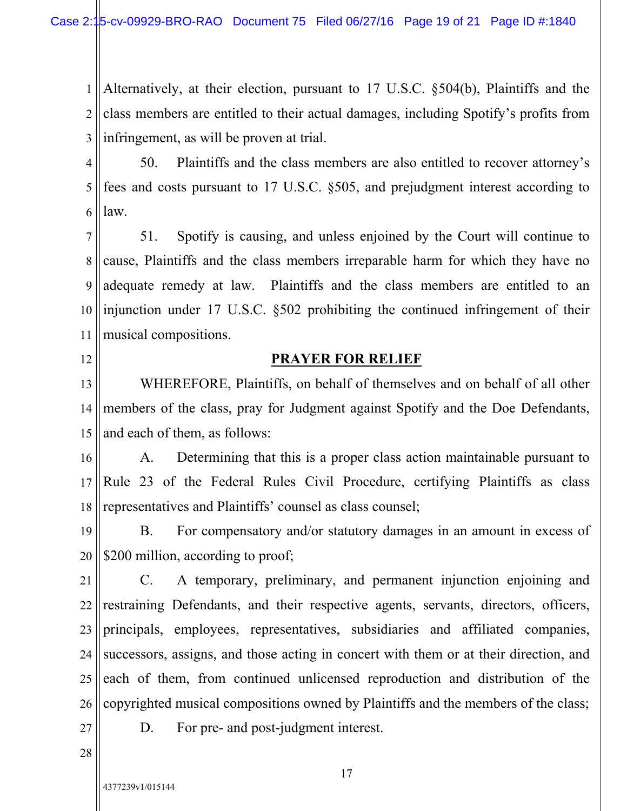1 2 3 Alternatively, at their election, pursuant to 17 U.S.C. §504(b), Plaintiffs and the class members are entitled to their actual damages, including Spotify's profits from infringement, as will be proven at trial.

4 5 6 50. Plaintiffs and the class members are also entitled to recover attorney's fees and costs pursuant to 17 U.S.C. §505, and prejudgment interest according to law.

7 8 9 10 11 51. Spotify is causing, and unless enjoined by the Court will continue to cause, Plaintiffs and the class members irreparable harm for which they have no adequate remedy at law. Plaintiffs and the class members are entitled to an injunction under 17 U.S.C. §502 prohibiting the continued infringement of their musical compositions.

12

# **PRAYER FOR RELIEF**

13 14 15 WHEREFORE, Plaintiffs, on behalf of themselves and on behalf of all other members of the class, pray for Judgment against Spotify and the Doe Defendants, and each of them, as follows:

16 17 18 A. Determining that this is a proper class action maintainable pursuant to Rule 23 of the Federal Rules Civil Procedure, certifying Plaintiffs as class representatives and Plaintiffs' counsel as class counsel;

19 20 B. For compensatory and/or statutory damages in an amount in excess of \$200 million, according to proof;

21 22 23 24 25 26 C. A temporary, preliminary, and permanent injunction enjoining and restraining Defendants, and their respective agents, servants, directors, officers, principals, employees, representatives, subsidiaries and affiliated companies, successors, assigns, and those acting in concert with them or at their direction, and each of them, from continued unlicensed reproduction and distribution of the copyrighted musical compositions owned by Plaintiffs and the members of the class;

27

D. For pre- and post-judgment interest.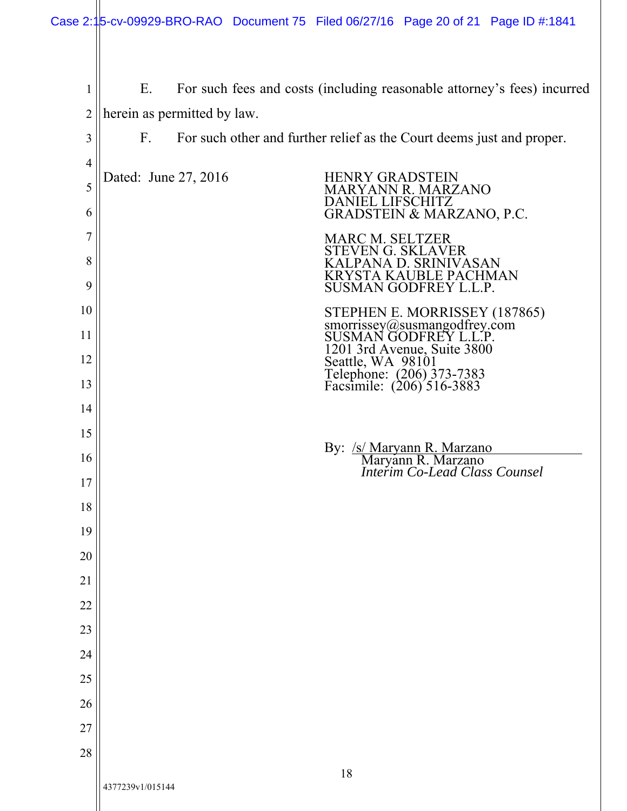| 1              | For such fees and costs (including reasonable attorney's fees) incurred<br>Е. |                                                                                                            |  |
|----------------|-------------------------------------------------------------------------------|------------------------------------------------------------------------------------------------------------|--|
| $\overline{2}$ |                                                                               | herein as permitted by law.                                                                                |  |
| 3              | $F_{\cdot}$                                                                   | For such other and further relief as the Court deems just and proper.                                      |  |
| $\overline{4}$ |                                                                               |                                                                                                            |  |
| 5<br>6         |                                                                               | Dated: June 27, 2016<br><b>HENRY GRADSTEIN</b><br>MARYANN R. MARZANO<br><b>DANIEL LIFSCHITZ</b>            |  |
|                |                                                                               | <b>GRADSTEIN &amp; MARZANO, P.C.</b>                                                                       |  |
| 7<br>8         |                                                                               | <b>MARC M. SELTZER</b><br>STEVEN G. SKLAVER<br>KALPANA D. SRINIVASAN<br><b>KRYSTA KAUBLE PACHMAN</b>       |  |
| 9              |                                                                               | <b>SUSMAN GODFREY L.L.P</b>                                                                                |  |
| 10             |                                                                               | STEPHEN E. MORRISSEY (187865)<br>smorrissey@susmangodfrey.com<br>SUSMAN GODFREY L.L.P.                     |  |
| 11             |                                                                               |                                                                                                            |  |
| 12             |                                                                               | 1201 3rd Avenue, Suite 3800<br>Seattle, WA 98101<br>Telephone: (206) 373-7383<br>Facsimile: (206) 516-3883 |  |
| 13             |                                                                               |                                                                                                            |  |
| 14             |                                                                               |                                                                                                            |  |
| 15             |                                                                               |                                                                                                            |  |
| 16             |                                                                               | By: <u>/s/ Maryann R. Marzano</u><br>Maryann R. Marzano<br><i>Interim Co-Lead Class Counsel</i>            |  |
| 17             |                                                                               |                                                                                                            |  |
| 18             |                                                                               |                                                                                                            |  |
| 19             |                                                                               |                                                                                                            |  |
| 20<br>21       |                                                                               |                                                                                                            |  |
| 22             |                                                                               |                                                                                                            |  |
| 23             |                                                                               |                                                                                                            |  |
| 24             |                                                                               |                                                                                                            |  |
| $25\,$         |                                                                               |                                                                                                            |  |
| 26             |                                                                               |                                                                                                            |  |
| 27             |                                                                               |                                                                                                            |  |
| 28             |                                                                               |                                                                                                            |  |
|                | 4377239v1/015144                                                              | 18                                                                                                         |  |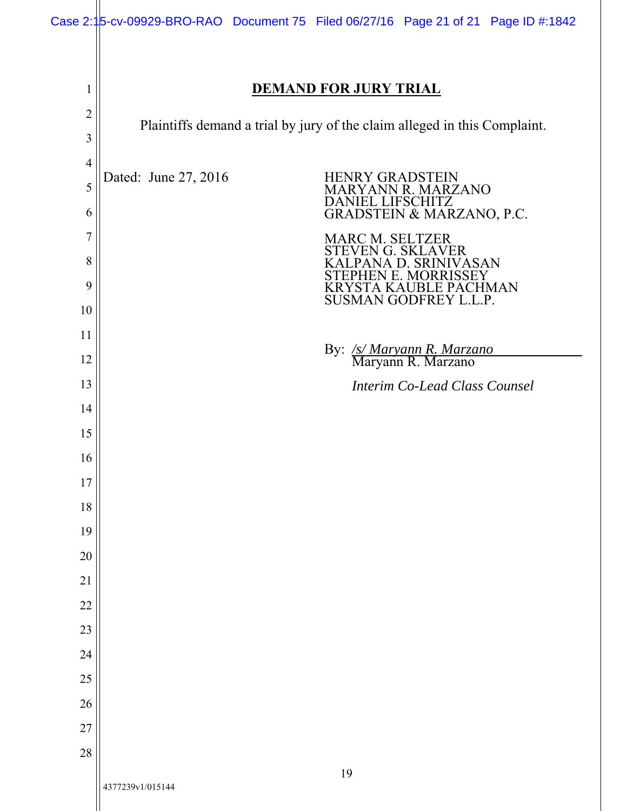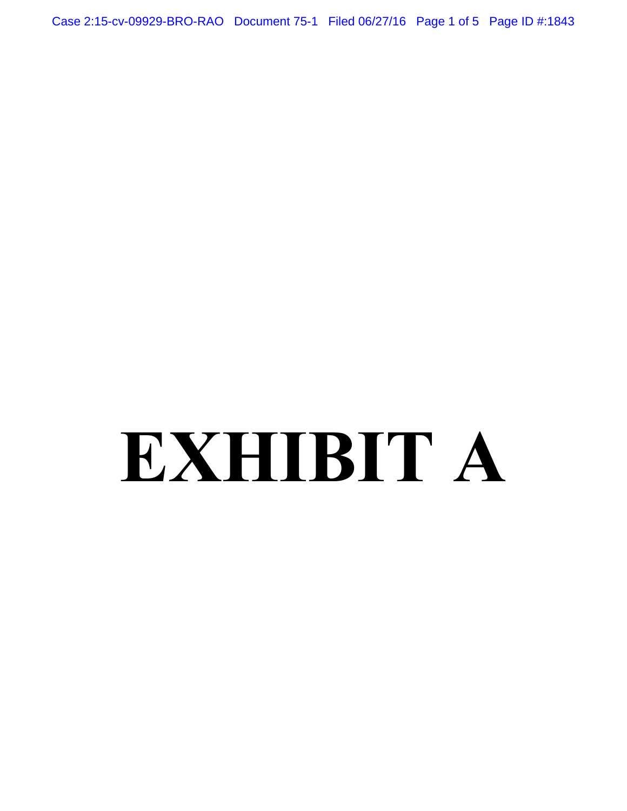Case 2:15-cv-09929-BRO-RAO Document 75-1 Filed 06/27/16 Page 1 of 5 Page ID #:1843

# **EXHIBIT A**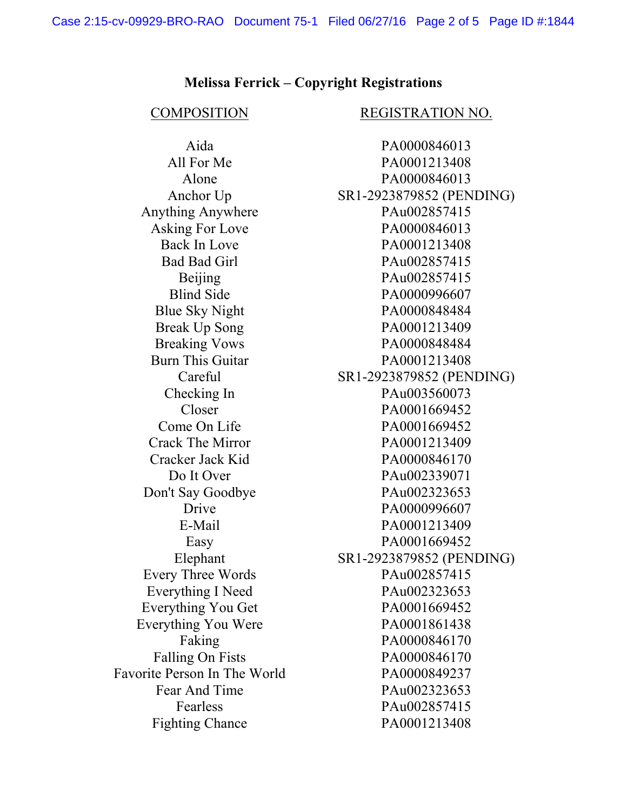### **Melissa Ferrick – Copyright Registrations**

Anything Anywhere PAu002857415 Everything You Were PA0001861438 Favorite Person In The World PA0000849237 Fighting Chance PA0001213408

### COMPOSITION REGISTRATION NO.

Aida PA0000846013 All For Me PA0001213408 Alone PA0000846013 Anchor Up SR1-2923879852 (PENDING) Asking For Love PA0000846013 Back In Love PA0001213408 Bad Bad Girl PAu002857415 Beijing PAu002857415 Blind Side PA0000996607 Blue Sky Night PA0000848484 Break Up Song PA0001213409 Breaking Vows PA0000848484 Burn This Guitar PA0001213408 Careful SR1-2923879852 (PENDING) Checking In PAu003560073 Closer PA0001669452 Come On Life PA0001669452 Crack The Mirror PA0001213409 Cracker Jack Kid PA0000846170 Do It Over PAu002339071 Don't Say Goodbye PAu002323653 Drive PA0000996607 E-Mail PA0001213409 Easy PA0001669452 Elephant SR1-2923879852 (PENDING) Every Three Words PAu002857415 Everything I Need PAu002323653 Everything You Get PA0001669452 Faking PA0000846170 Falling On Fists PA0000846170 Fear And Time PAu002323653 Fearless PAu002857415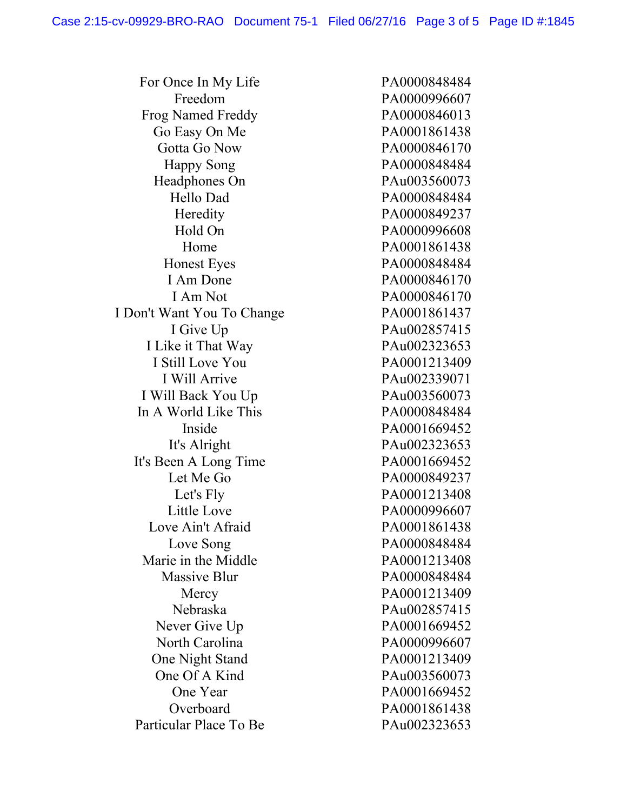For Once In My Life PA0000848484 Freedom PA0000996607 Frog Named Freddy PA0000846013 Go Easy On Me PA0001861438 Gotta Go Now PA0000846170 Happy Song PA0000848484 Headphones On PAu003560073 Hello Dad PA0000848484 Heredity PA0000849237 Hold On PA0000996608 Home **PA0001861438** Honest Eyes PA0000848484 I Am Done PA0000846170 I Am Not PA0000846170 I Don't Want You To Change PA0001861437 I Give Up PAu002857415 I Like it That Way PAu002323653 I Still Love You PA0001213409 I Will Arrive PAu002339071 I Will Back You Up PAu003560073 In A World Like This PA0000848484 Inside PA0001669452 It's Alright PAu002323653 It's Been A Long Time PA0001669452 Let Me Go PA0000849237 Let's Fly PA0001213408 Little Love PA0000996607 Love Ain't Afraid PA0001861438 Love Song PA0000848484 Marie in the Middle PA0001213408 Massive Blur PA0000848484 Mercy PA0001213409 Nebraska PAu002857415 Never Give Up PA0001669452 North Carolina PA0000996607 One Night Stand PA0001213409 One Of A Kind PAu003560073 One Year PA0001669452 Overboard PA0001861438 Particular Place To Be PAu002323653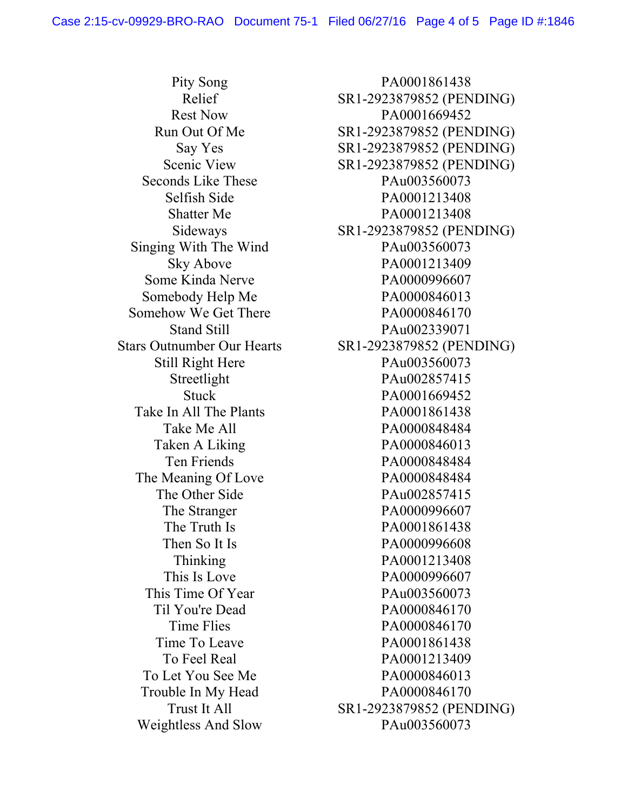Singing With The Wind PAu003560073 Somebody Help Me PA0000846013 Somehow We Get There PA0000846170 Take In All The Plants PA0001861438 The Meaning Of Love PA0000848484 Trouble In My Head PA0000846170 Weightless And Slow PAu003560073

Pity Song PA0001861438 Relief SR1-2923879852 (PENDING) Rest Now PA0001669452 Run Out Of Me SR1-2923879852 (PENDING) Say Yes SR1-2923879852 (PENDING) Scenic View SR1-2923879852 (PENDING) Seconds Like These PAu003560073 Selfish Side PA0001213408 Shatter Me PA0001213408 Sideways SR1-2923879852 (PENDING) Sky Above PA0001213409 Some Kinda Nerve PA0000996607 Stand Still **PAu002339071** Stars Outnumber Our Hearts SR1-2923879852 (PENDING) Still Right Here PAu003560073 Streetlight PAu002857415 Stuck PA0001669452 Take Me All **PA0000848484** Taken A Liking PA0000846013 Ten Friends PA0000848484 The Other Side PAu002857415 The Stranger PA0000996607 The Truth Is PA0001861438 Then So It Is PA0000996608 Thinking **PA0001213408** This Is Love **PA0000996607** This Time Of Year PAu003560073 Til You're Dead PA0000846170 Time Flies **PA0000846170** Time To Leave PA0001861438 To Feel Real 2000 PA0001213409 To Let You See Me PA0000846013 Trust It All SR1-2923879852 (PENDING)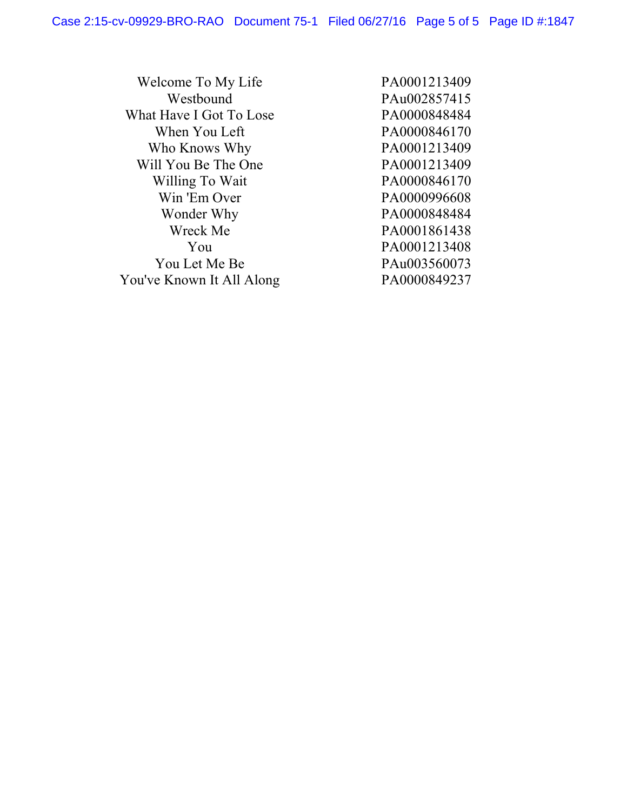| Welcome To My Life        | PA0001213409 |
|---------------------------|--------------|
| Westbound                 | PAu002857415 |
| What Have I Got To Lose   | PA0000848484 |
| When You Left             | PA0000846170 |
| Who Knows Why             | PA0001213409 |
| Will You Be The One       | PA0001213409 |
| Willing To Wait           | PA0000846170 |
| Win 'Em Over              | PA0000996608 |
| Wonder Why                | PA0000848484 |
| Wreck Me                  | PA0001861438 |
| You                       | PA0001213408 |
| You Let Me Be             | PAu003560073 |
| You've Known It All Along | PA0000849237 |
|                           |              |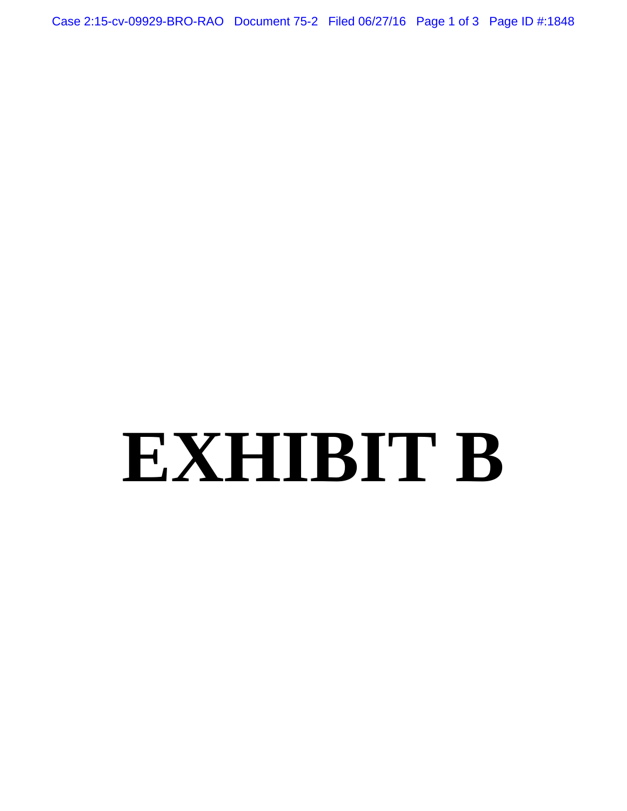Case 2:15-cv-09929-BRO-RAO Document 75-2 Filed 06/27/16 Page 1 of 3 Page ID #:1848

# **EXHIBIT B**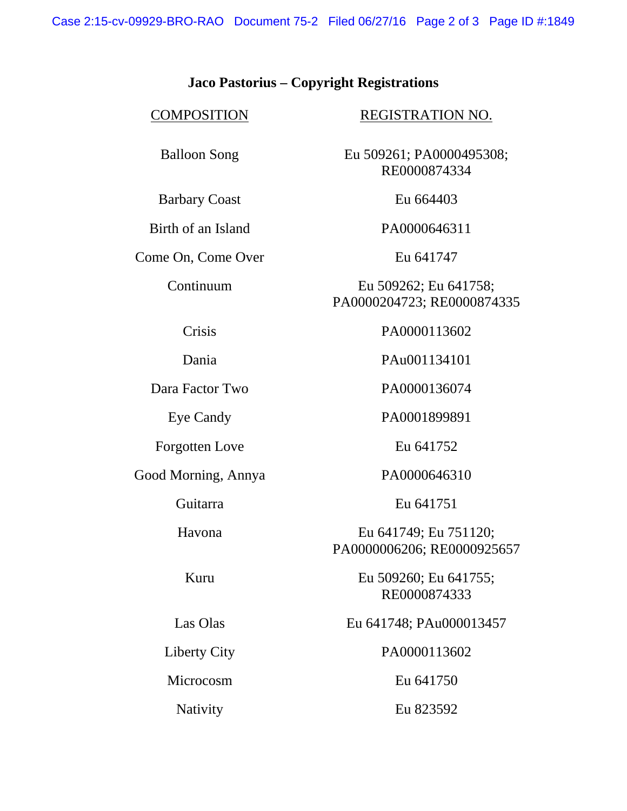Case 2:15-cv-09929-BRO-RAO Document 75-2 Filed 06/27/16 Page 2 of 3 Page ID #:1849

## **Jaco Pastorius – Copyright Registrations**

Barbary Coast Eu 664403

Come On, Come Over Eu 641747

COMPOSITION REGISTRATION NO.

Balloon Song Eu 509261; PA0000495308; RE0000874334

Birth of an Island PA0000646311

Continuum Eu 509262; Eu 641758; PA0000204723; RE0000874335

Crisis PA0000113602

Dania PAu001134101

Eye Candy PA0001899891

Guitarra Eu 641751

Havona Eu 641749; Eu 751120; PA0000006206; RE0000925657

Kuru Eu 509260; Eu 641755; RE0000874333

Las Olas Eu 641748; PAu000013457

Liberty City PA0000113602

Nativity Eu 823592

Dara Factor Two PA0000136074

Forgotten Love Eu 641752

Good Morning, Annya PA0000646310

Microcosm Eu 641750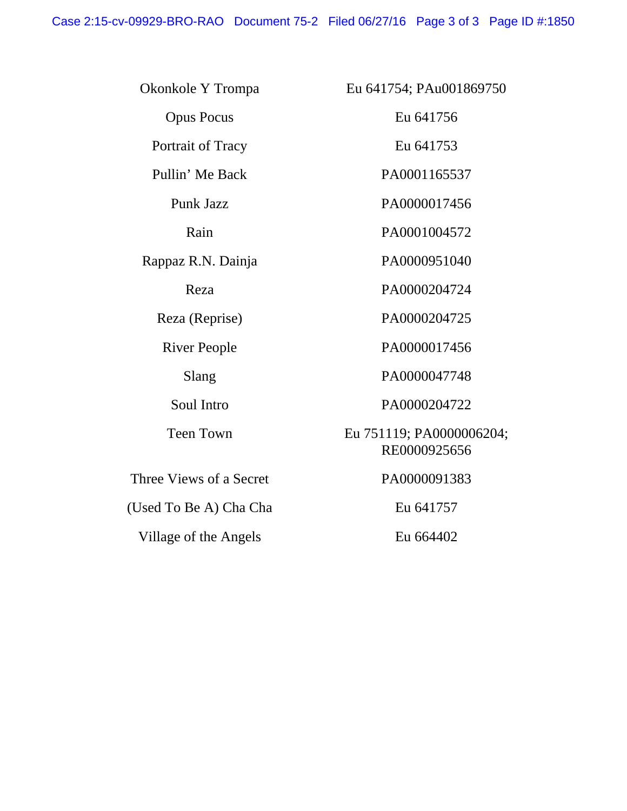Case 2:15-cv-09929-BRO-RAO Document 75-2 Filed 06/27/16 Page 3 of 3 Page ID #:1850

| Okonkole Y Trompa       | Eu 641754; PAu001869750                  |
|-------------------------|------------------------------------------|
| <b>Opus Pocus</b>       | Eu 641756                                |
| Portrait of Tracy       | Eu 641753                                |
| Pullin' Me Back         | PA0001165537                             |
| Punk Jazz               | PA0000017456                             |
| Rain                    | PA0001004572                             |
| Rappaz R.N. Dainja      | PA0000951040                             |
| Reza                    | PA0000204724                             |
| Reza (Reprise)          | PA0000204725                             |
| <b>River People</b>     | PA0000017456                             |
| Slang                   | PA0000047748                             |
| Soul Intro              | PA0000204722                             |
| <b>Teen Town</b>        | Eu 751119; PA0000006204;<br>RE0000925656 |
| Three Views of a Secret | PA0000091383                             |
| (Used To Be A) Cha Cha  | Eu 641757                                |
| Village of the Angels   | Eu 664402                                |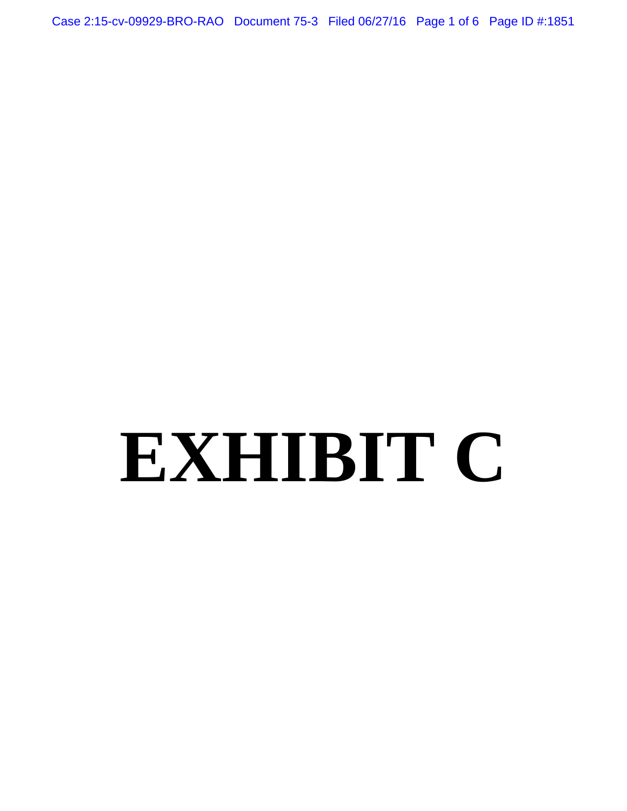Case 2:15-cv-09929-BRO-RAO Document 75-3 Filed 06/27/16 Page 1 of 6 Page ID #:1851

# **EXHIBIT C**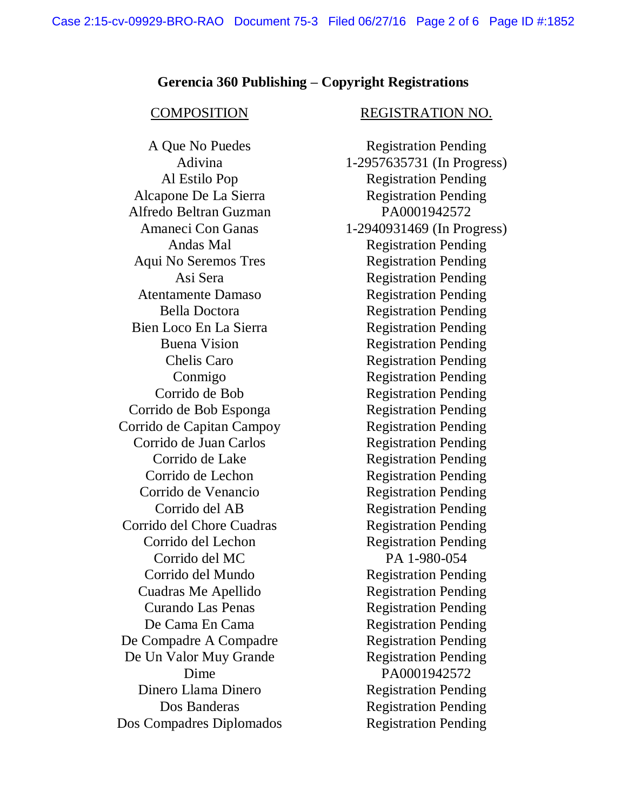## **Gerencia 360 Publishing – Copyright Registrations**

Alcapone De La Sierra Registration Pending Alfredo Beltran Guzman PA0001942572 Aqui No Seremos Tres Registration Pending Atentamente Damaso Registration Pending Bien Loco En La Sierra Registration Pending Corrido de Bob Esponga Registration Pending Corrido de Capitan Campoy Registration Pending Corrido de Juan Carlos Registration Pending Corrido de Venancio Registration Pending Corrido del Chore Cuadras Registration Pending Corrido del Lechon Registration Pending Corrido del MC PA 1-980-054 Cuadras Me Apellido Registration Pending De Compadre A Compadre Registration Pending De Un Valor Muy Grande Registration Pending Dinero Llama Dinero Registration Pending Dos Compadres Diplomados Registration Pending

### COMPOSITION REGISTRATION NO.

A Que No Puedes Registration Pending Adivina 1-2957635731 (In Progress) Al Estilo Pop Registration Pending Amaneci Con Ganas 1-2940931469 (In Progress) Andas Mal Registration Pending Asi Sera Registration Pending Bella Doctora Registration Pending Buena Vision Registration Pending Chelis Caro Registration Pending Conmigo Registration Pending Corrido de Bob Registration Pending Corrido de Lake Registration Pending Corrido de Lechon Registration Pending Corrido del AB Registration Pending Corrido del Mundo Registration Pending Curando Las Penas Registration Pending De Cama En Cama **Registration** Pending Dime PA0001942572 Dos Banderas Registration Pending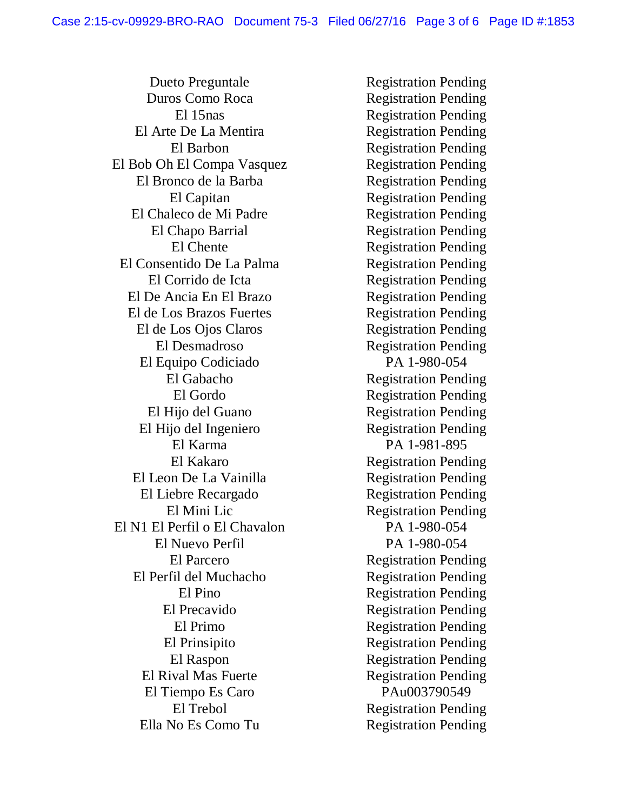Dueto Preguntale Registration Pending Duros Como Roca Registration Pending El Arte De La Mentira Registration Pending El Bob Oh El Compa Vasquez Registration Pending El Bronco de la Barba Registration Pending El Chaleco de Mi Padre Registration Pending El Chapo Barrial Registration Pending El Consentido De La Palma Registration Pending El Corrido de Icta Registration Pending El De Ancia En El Brazo Registration Pending El de Los Brazos Fuertes Registration Pending El de Los Ojos Claros Registration Pending El Desmadroso Registration Pending El Equipo Codiciado PA 1-980-054 El Hijo del Guano Registration Pending El Hijo del Ingeniero Registration Pending El Karma PA 1-981-895 El Leon De La Vainilla Registration Pending El Liebre Recargado Registration Pending El Mini Lic Registration Pending El N1 El Perfil o El Chavalon PA 1-980-054 El Nuevo Perfil PA 1-980-054 El Perfil del Muchacho Registration Pending El Precavido Registration Pending El Prinsipito Registration Pending El Rival Mas Fuerte Registration Pending El Tiempo Es Caro PAu003790549 Ella No Es Como Tu
Begistration Pending

El 15nas Registration Pending El Barbon Registration Pending El Capitan Registration Pending El Chente Registration Pending El Gabacho Registration Pending El Gordo Registration Pending El Kakaro Registration Pending El Parcero Registration Pending El Pino Registration Pending El Primo Registration Pending El Raspon Registration Pending El Trebol Registration Pending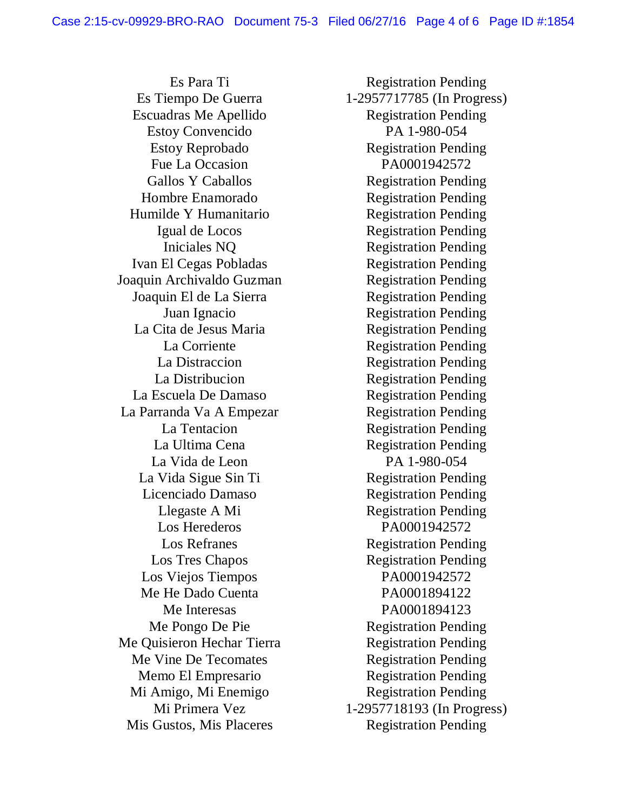Escuadras Me Apellido Registration Pending Estoy Convencido PA 1-980-054 Fue La Occasion PA0001942572 Hombre Enamorado Registration Pending Humilde Y Humanitario Registration Pending Ivan El Cegas Pobladas Registration Pending Joaquin Archivaldo Guzman Registration Pending Joaquin El de La Sierra Registration Pending La Cita de Jesus Maria Registration Pending La Escuela De Damaso Registration Pending La Parranda Va A Empezar Registration Pending La Vida de Leon PA 1-980-054 La Vida Sigue Sin Ti Registration Pending Licenciado Damaso Registration Pending Los Herederos PA0001942572 Los Viejos Tiempos PA0001942572 Me He Dado Cuenta PA0001894122 Me Quisieron Hechar Tierra Registration Pending Me Vine De Tecomates Registration Pending Memo El Empresario Registration Pending Mi Amigo, Mi Enemigo Registration Pending Mis Gustos, Mis Placeres Registration Pending

Es Para Ti Registration Pending Es Tiempo De Guerra 1-2957717785 (In Progress) Estoy Reprobado Registration Pending Gallos Y Caballos Registration Pending Igual de Locos Registration Pending Iniciales NQ Registration Pending Juan Ignacio Registration Pending La Corriente Registration Pending La Distraccion Registration Pending La Distribucion Registration Pending La Tentacion Registration Pending La Ultima Cena Registration Pending Llegaste A Mi Registration Pending Los Refranes Registration Pending Los Tres Chapos Registration Pending Me Interesas PA0001894123 Me Pongo De Pie Registration Pending Mi Primera Vez 1-2957718193 (In Progress)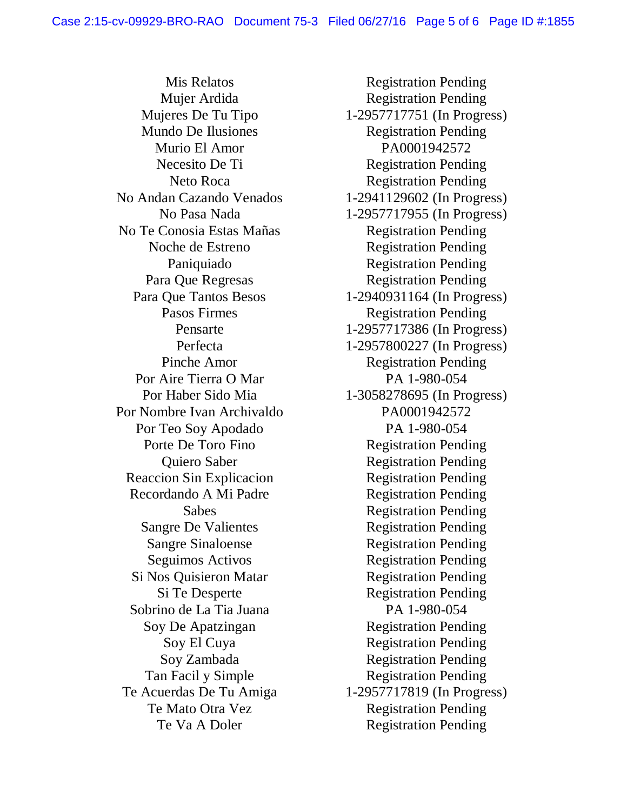Mis Relatos Registration Pending Mundo De Ilusiones Registration Pending Murio El Amor<br>
PA0001942572 No Andan Cazando Venados 1-2941129602 (In Progress) No Te Conosia Estas Mañas Registration Pending Por Aire Tierra O Mar PA 1-980-054 Por Nombre Ivan Archivaldo PA0001942572 Por Teo Soy Apodado PA 1-980-054 Reaccion Sin Explicacion Registration Pending Recordando A Mi Padre Registration Pending Si Nos Quisieron Matar Registration Pending Sobrino de La Tia Juana PA 1-980-054

Mujer Ardida Registration Pending Mujeres De Tu Tipo 1-2957717751 (In Progress) Necesito De Ti<br>Registration Pending Neto Roca Registration Pending No Pasa Nada 1-2957717955 (In Progress) Noche de Estreno Registration Pending Paniquiado Registration Pending Para Que Regresas Registration Pending Para Que Tantos Besos 1-2940931164 (In Progress) Pasos Firmes Registration Pending Pensarte 1-2957717386 (In Progress) Perfecta 1-2957800227 (In Progress) Pinche Amor Registration Pending Por Haber Sido Mia 1-3058278695 (In Progress) Porte De Toro Fino Registration Pending Quiero Saber Registration Pending Sabes Registration Pending Sangre De Valientes Registration Pending Sangre Sinaloense Registration Pending Seguimos Activos **Registration Pending** Si Te Desperte Registration Pending Soy De Apatzingan Registration Pending Soy El Cuya Registration Pending Soy Zambada Registration Pending Tan Facil y Simple Registration Pending Te Acuerdas De Tu Amiga 1-2957717819 (In Progress) Te Mato Otra Vez Registration Pending Te Va A Doler Registration Pending